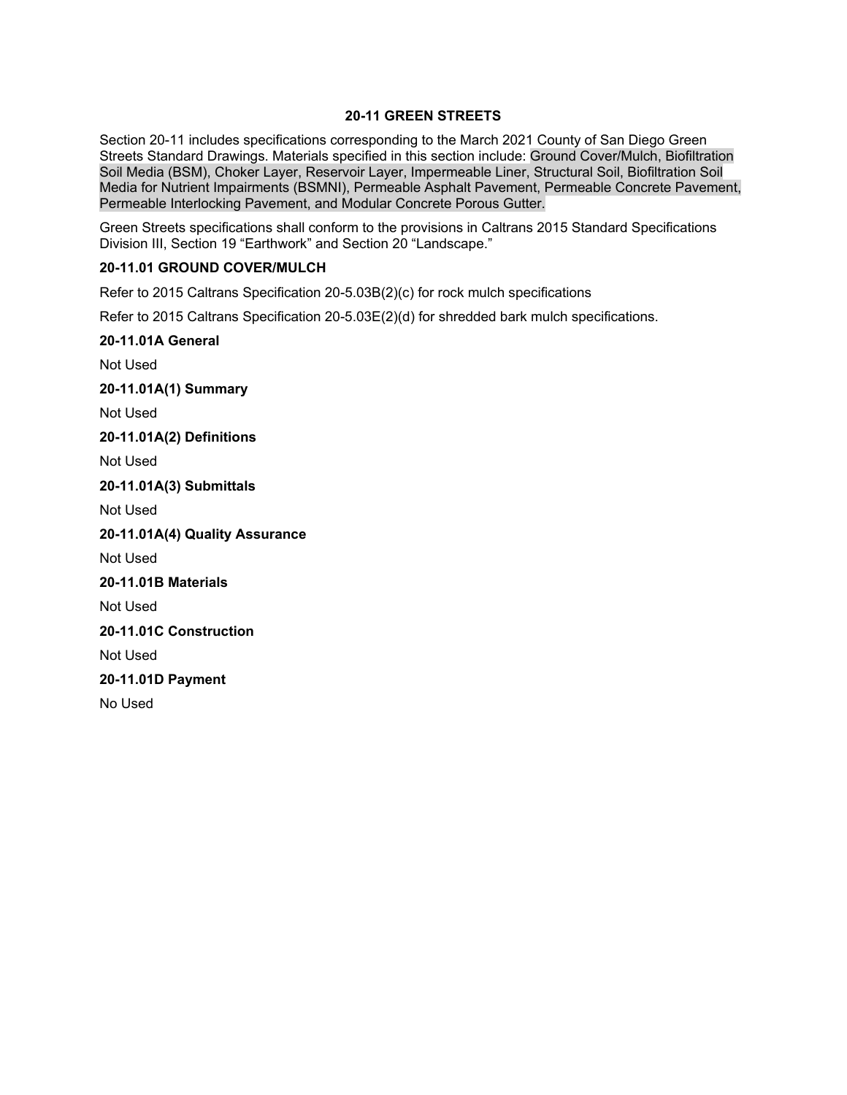## **20-11 GREEN STREETS**

Section 20-11 includes specifications corresponding to the March 2021 County of San Diego Green Streets Standard Drawings. Materials specified in this section include: Ground Cover/Mulch, Biofiltration Soil Media (BSM), Choker Layer, Reservoir Layer, Impermeable Liner, Structural Soil, Biofiltration Soil Media for Nutrient Impairments (BSMNI), Permeable Asphalt Pavement, Permeable Concrete Pavement, Permeable Interlocking Pavement, and Modular Concrete Porous Gutter.

Green Streets specifications shall conform to the provisions in Caltrans 2015 Standard Specifications Division III, Section 19 "Earthwork" and Section 20 "Landscape."

## **20-11.01 GROUND COVER/MULCH**

Refer to 2015 Caltrans Specification 20-5.03B(2)(c) for rock mulch specifications

Refer to 2015 Caltrans Specification 20-5.03E(2)(d) for shredded bark mulch specifications.

# **20-11.01A General** Not Used

**20-11.01A(1) Summary**

Not Used

**20-11.01A(2) Definitions**

Not Used

**20-11.01A(3) Submittals**

Not Used

**20-11.01A(4) Quality Assurance**

Not Used

**20-11.01B Materials**

Not Used

**20-11.01C Construction**

Not Used

**20-11.01D Payment**

No Used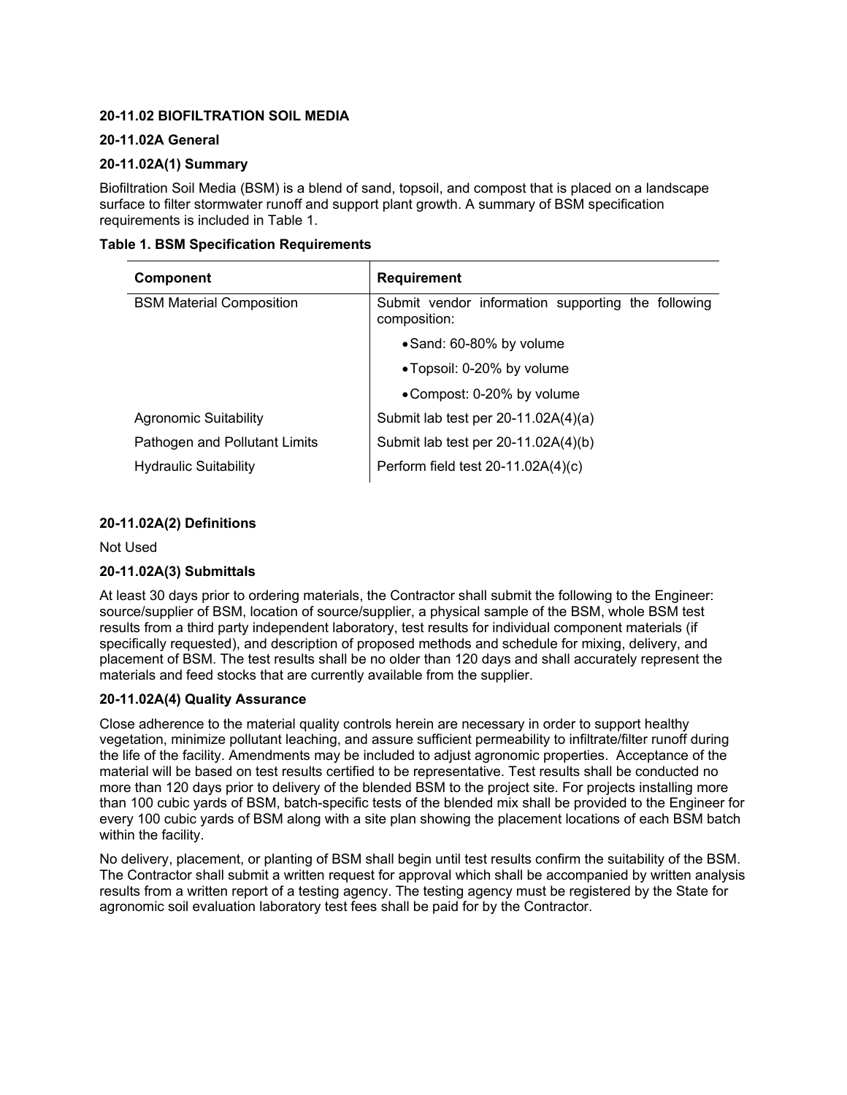## **20-11.02 BIOFILTRATION SOIL MEDIA**

## **20-11.02A General**

## **20-11.02A(1) Summary**

Biofiltration Soil Media (BSM) is a blend of sand, topsoil, and compost that is placed on a landscape surface to filter stormwater runoff and support plant growth. A summary of BSM specification requirements is included in Table 1.

|  |  |  | <b>Table 1. BSM Specification Requirements</b> |
|--|--|--|------------------------------------------------|
|--|--|--|------------------------------------------------|

| Component                       | <b>Requirement</b>                                                 |
|---------------------------------|--------------------------------------------------------------------|
| <b>BSM Material Composition</b> | Submit vendor information supporting the following<br>composition: |
|                                 | • Sand: 60-80% by volume                                           |
|                                 | • Topsoil: 0-20% by volume                                         |
|                                 | • Compost: 0-20% by volume                                         |
| <b>Agronomic Suitability</b>    | Submit lab test per 20-11.02A(4)(a)                                |
| Pathogen and Pollutant Limits   | Submit lab test per 20-11.02A(4)(b)                                |
| <b>Hydraulic Suitability</b>    | Perform field test 20-11.02A(4)(c)                                 |

## **20-11.02A(2) Definitions**

Not Used

# **20-11.02A(3) Submittals**

At least 30 days prior to ordering materials, the Contractor shall submit the following to the Engineer: source/supplier of BSM, location of source/supplier, a physical sample of the BSM, whole BSM test results from a third party independent laboratory, test results for individual component materials (if specifically requested), and description of proposed methods and schedule for mixing, delivery, and placement of BSM. The test results shall be no older than 120 days and shall accurately represent the materials and feed stocks that are currently available from the supplier.

#### **20-11.02A(4) Quality Assurance**

Close adherence to the material quality controls herein are necessary in order to support healthy vegetation, minimize pollutant leaching, and assure sufficient permeability to infiltrate/filter runoff during the life of the facility. Amendments may be included to adjust agronomic properties. Acceptance of the material will be based on test results certified to be representative. Test results shall be conducted no more than 120 days prior to delivery of the blended BSM to the project site. For projects installing more than 100 cubic yards of BSM, batch-specific tests of the blended mix shall be provided to the Engineer for every 100 cubic yards of BSM along with a site plan showing the placement locations of each BSM batch within the facility.

No delivery, placement, or planting of BSM shall begin until test results confirm the suitability of the BSM. The Contractor shall submit a written request for approval which shall be accompanied by written analysis results from a written report of a testing agency. The testing agency must be registered by the State for agronomic soil evaluation laboratory test fees shall be paid for by the Contractor.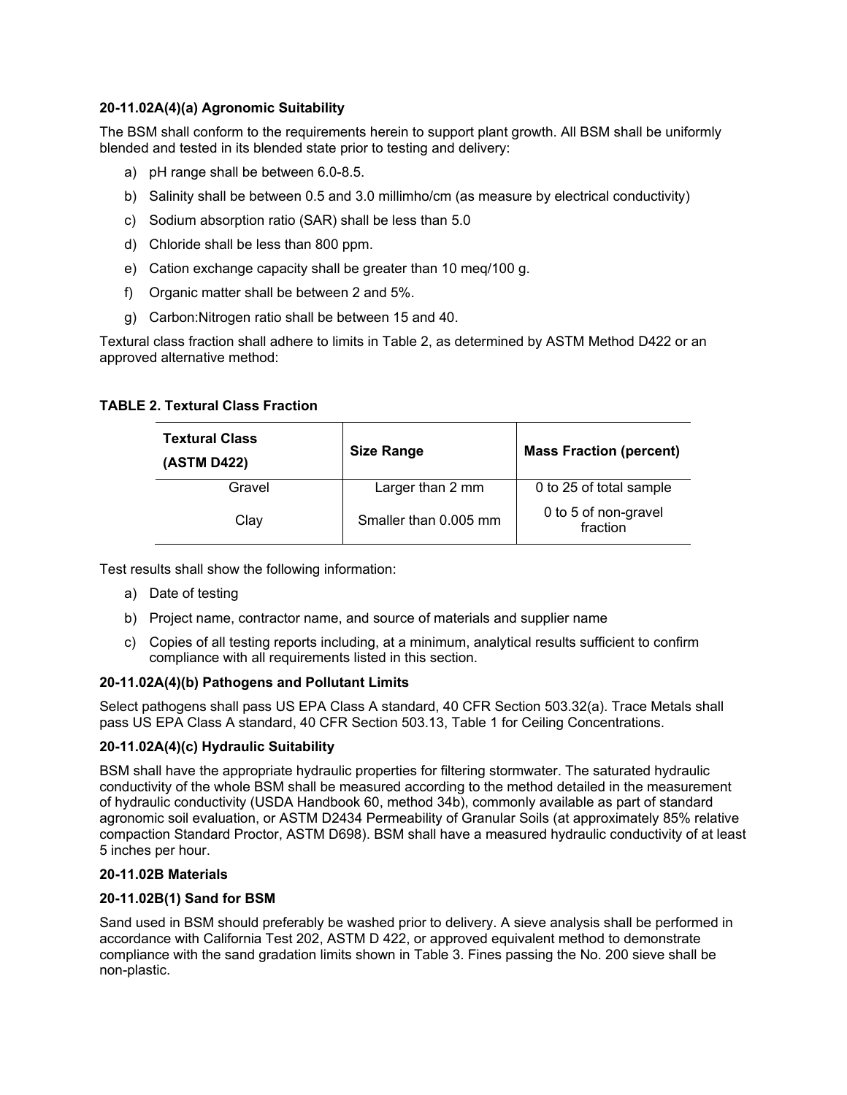## **20-11.02A(4)(a) Agronomic Suitability**

The BSM shall conform to the requirements herein to support plant growth. All BSM shall be uniformly blended and tested in its blended state prior to testing and delivery:

- a) pH range shall be between 6.0-8.5.
- b) Salinity shall be between 0.5 and 3.0 millimho/cm (as measure by electrical conductivity)
- c) Sodium absorption ratio (SAR) shall be less than 5.0
- d) Chloride shall be less than 800 ppm.
- e) Cation exchange capacity shall be greater than 10 meq/100 g.
- f) Organic matter shall be between 2 and 5%.
- g) Carbon:Nitrogen ratio shall be between 15 and 40.

Textural class fraction shall adhere to limits in Table 2, as determined by ASTM Method D422 or an approved alternative method:

## **TABLE 2. Textural Class Fraction**

| <b>Textural Class</b><br>(ASTM D422) | <b>Size Range</b>     | <b>Mass Fraction (percent)</b>   |
|--------------------------------------|-----------------------|----------------------------------|
| Gravel                               | Larger than 2 mm      | 0 to 25 of total sample          |
| Clay                                 | Smaller than 0.005 mm | 0 to 5 of non-gravel<br>fraction |

Test results shall show the following information:

- a) Date of testing
- b) Project name, contractor name, and source of materials and supplier name
- c) Copies of all testing reports including, at a minimum, analytical results sufficient to confirm compliance with all requirements listed in this section.

#### **20-11.02A(4)(b) Pathogens and Pollutant Limits**

Select pathogens shall pass US EPA Class A standard, 40 CFR Section 503.32(a). Trace Metals shall pass US EPA Class A standard, 40 CFR Section 503.13, Table 1 for Ceiling Concentrations.

#### **20-11.02A(4)(c) Hydraulic Suitability**

BSM shall have the appropriate hydraulic properties for filtering stormwater. The saturated hydraulic conductivity of the whole BSM shall be measured according to the method detailed in the measurement of hydraulic conductivity (USDA Handbook 60, method 34b), commonly available as part of standard agronomic soil evaluation, or ASTM D2434 Permeability of Granular Soils (at approximately 85% relative compaction Standard Proctor, ASTM D698). BSM shall have a measured hydraulic conductivity of at least 5 inches per hour.

#### **20-11.02B Materials**

#### **20-11.02B(1) Sand for BSM**

Sand used in BSM should preferably be washed prior to delivery. A sieve analysis shall be performed in accordance with California Test 202, ASTM D 422, or approved equivalent method to demonstrate compliance with the sand gradation limits shown in Table 3. Fines passing the No. 200 sieve shall be non-plastic.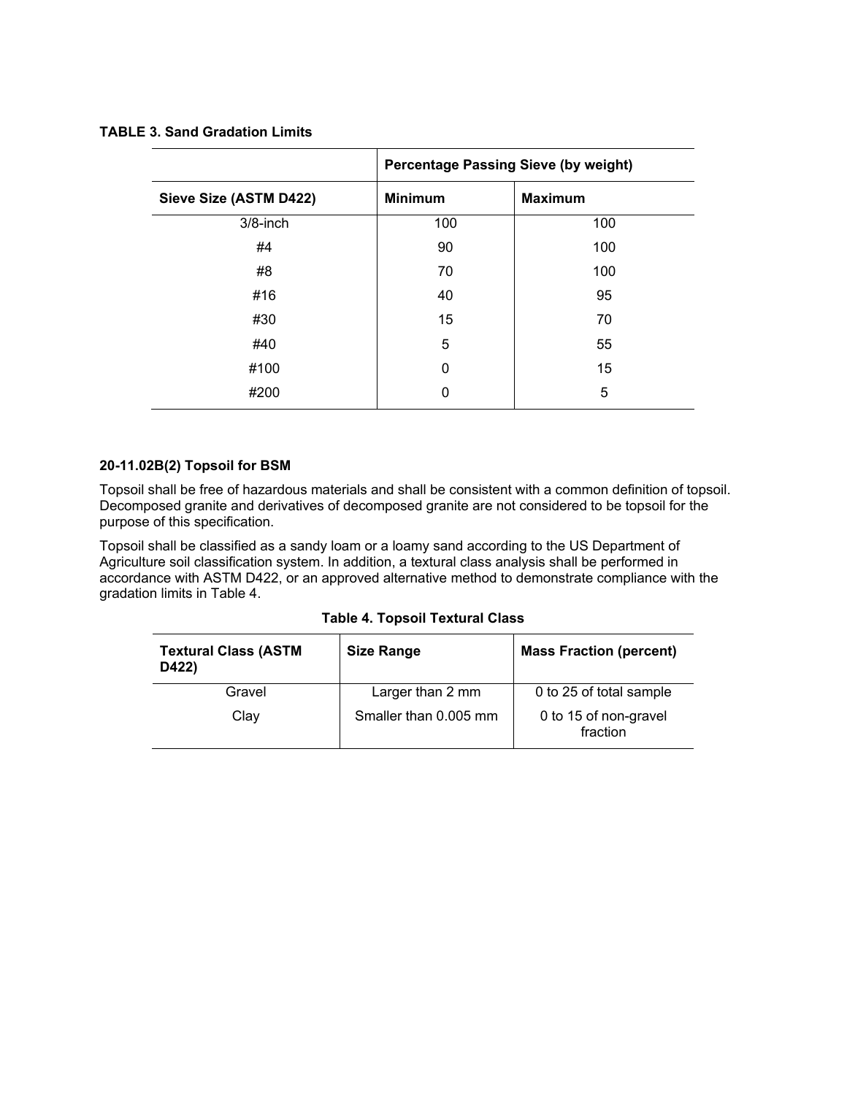|                        | <b>Percentage Passing Sieve (by weight)</b> |                |
|------------------------|---------------------------------------------|----------------|
| Sieve Size (ASTM D422) | <b>Minimum</b>                              | <b>Maximum</b> |
| $3/8$ -inch            | 100                                         | 100            |
| #4                     | 90                                          | 100            |
| #8                     | 70                                          | 100            |
| #16                    | 40                                          | 95             |
| #30                    | 15                                          | 70             |
| #40                    | 5                                           | 55             |
| #100                   | 0                                           | 15             |
| #200                   | 0                                           | 5              |

## **20-11.02B(2) Topsoil for BSM**

Topsoil shall be free of hazardous materials and shall be consistent with a common definition of topsoil. Decomposed granite and derivatives of decomposed granite are not considered to be topsoil for the purpose of this specification.

Topsoil shall be classified as a sandy loam or a loamy sand according to the US Department of Agriculture soil classification system. In addition, a textural class analysis shall be performed in accordance with ASTM D422, or an approved alternative method to demonstrate compliance with the gradation limits in Table 4.

|  |  | Table 4. Topsoil Textural Class |  |
|--|--|---------------------------------|--|
|--|--|---------------------------------|--|

| <b>Textural Class (ASTM</b><br>D422) | <b>Size Range</b>     | <b>Mass Fraction (percent)</b>    |
|--------------------------------------|-----------------------|-----------------------------------|
| Gravel                               | Larger than 2 mm      | 0 to 25 of total sample           |
| Clav                                 | Smaller than 0.005 mm | 0 to 15 of non-gravel<br>fraction |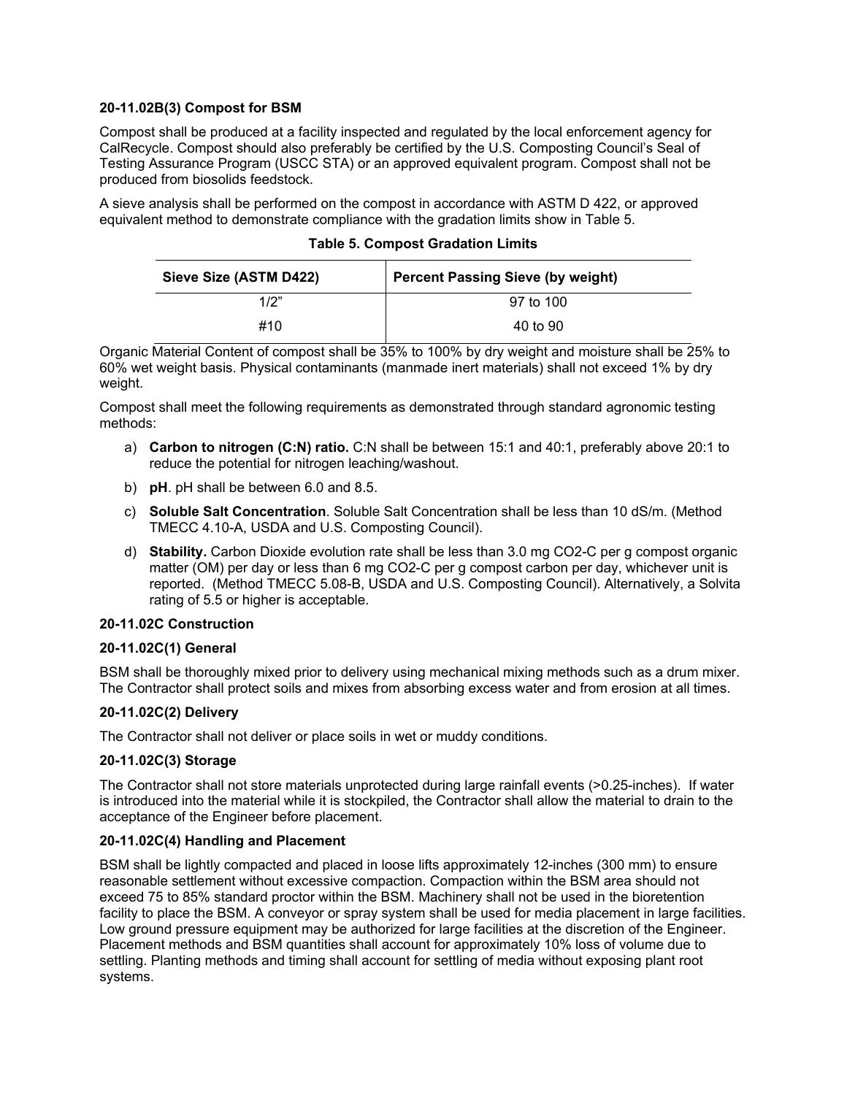### **20-11.02B(3) Compost for BSM**

Compost shall be produced at a facility inspected and regulated by the local enforcement agency for CalRecycle. Compost should also preferably be certified by the U.S. Composting Council's Seal of Testing Assurance Program (USCC STA) or an approved equivalent program. Compost shall not be produced from biosolids feedstock.

A sieve analysis shall be performed on the compost in accordance with ASTM D 422, or approved equivalent method to demonstrate compliance with the gradation limits show in Table 5.

| Sieve Size (ASTM D422) | <b>Percent Passing Sieve (by weight)</b> |
|------------------------|------------------------------------------|
| 1/2"                   | 97 to 100                                |
| #10                    | 40 to 90                                 |

Organic Material Content of compost shall be 35% to 100% by dry weight and moisture shall be 25% to 60% wet weight basis. Physical contaminants (manmade inert materials) shall not exceed 1% by dry weight.

Compost shall meet the following requirements as demonstrated through standard agronomic testing methods:

- a) **Carbon to nitrogen (C:N) ratio.** C:N shall be between 15:1 and 40:1, preferably above 20:1 to reduce the potential for nitrogen leaching/washout.
- b) **pH**. pH shall be between 6.0 and 8.5.
- c) **Soluble Salt Concentration**. Soluble Salt Concentration shall be less than 10 dS/m. (Method TMECC 4.10-A, USDA and U.S. Composting Council).
- d) **Stability.** Carbon Dioxide evolution rate shall be less than 3.0 mg CO2-C per g compost organic matter (OM) per day or less than 6 mg CO2-C per g compost carbon per day, whichever unit is reported. (Method TMECC 5.08-B, USDA and U.S. Composting Council). Alternatively, a Solvita rating of 5.5 or higher is acceptable.

# **20-11.02C Construction**

# **20-11.02C(1) General**

BSM shall be thoroughly mixed prior to delivery using mechanical mixing methods such as a drum mixer. The Contractor shall protect soils and mixes from absorbing excess water and from erosion at all times.

# **20-11.02C(2) Delivery**

The Contractor shall not deliver or place soils in wet or muddy conditions.

# **20-11.02C(3) Storage**

The Contractor shall not store materials unprotected during large rainfall events (>0.25-inches). If water is introduced into the material while it is stockpiled, the Contractor shall allow the material to drain to the acceptance of the Engineer before placement.

# **20-11.02C(4) Handling and Placement**

BSM shall be lightly compacted and placed in loose lifts approximately 12-inches (300 mm) to ensure reasonable settlement without excessive compaction. Compaction within the BSM area should not exceed 75 to 85% standard proctor within the BSM. Machinery shall not be used in the bioretention facility to place the BSM. A conveyor or spray system shall be used for media placement in large facilities. Low ground pressure equipment may be authorized for large facilities at the discretion of the Engineer. Placement methods and BSM quantities shall account for approximately 10% loss of volume due to settling. Planting methods and timing shall account for settling of media without exposing plant root systems.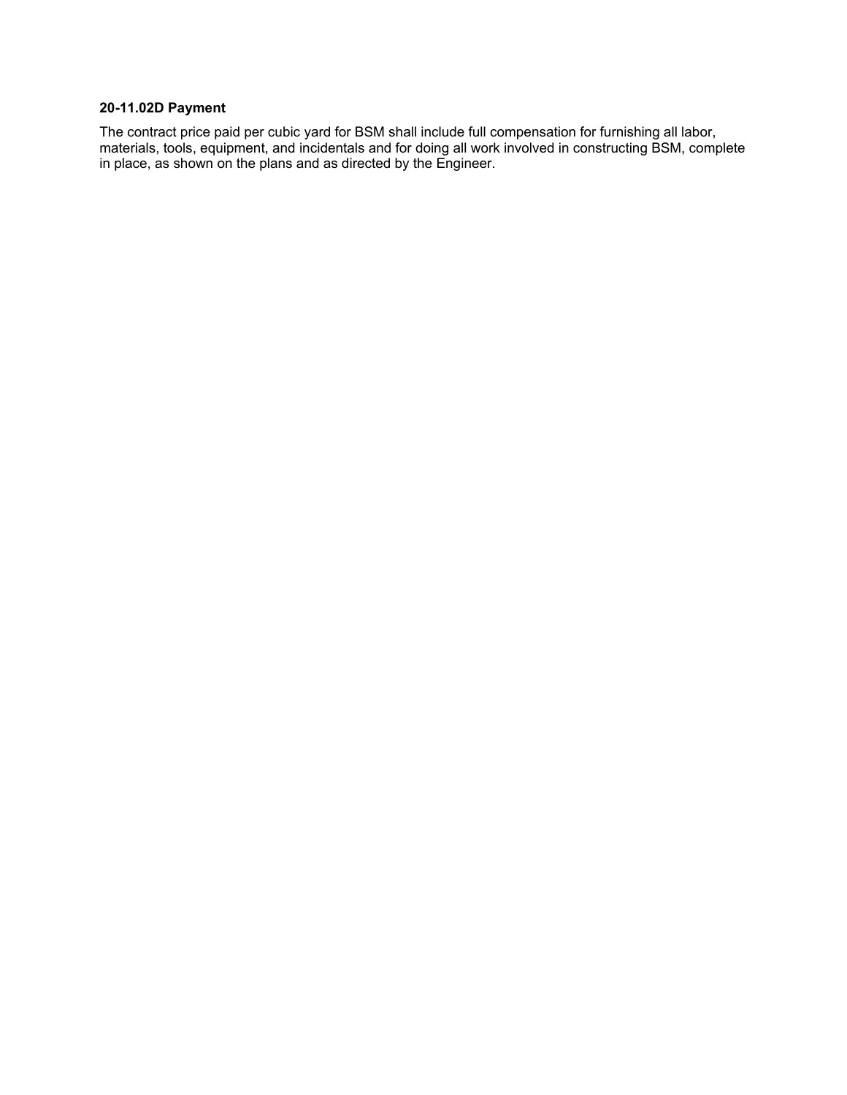# **20-11.02D Payment**

The contract price paid per cubic yard for BSM shall include full compensation for furnishing all labor, materials, tools, equipment, and incidentals and for doing all work involved in constructing BSM, complete in place, as shown on the plans and as directed by the Engineer.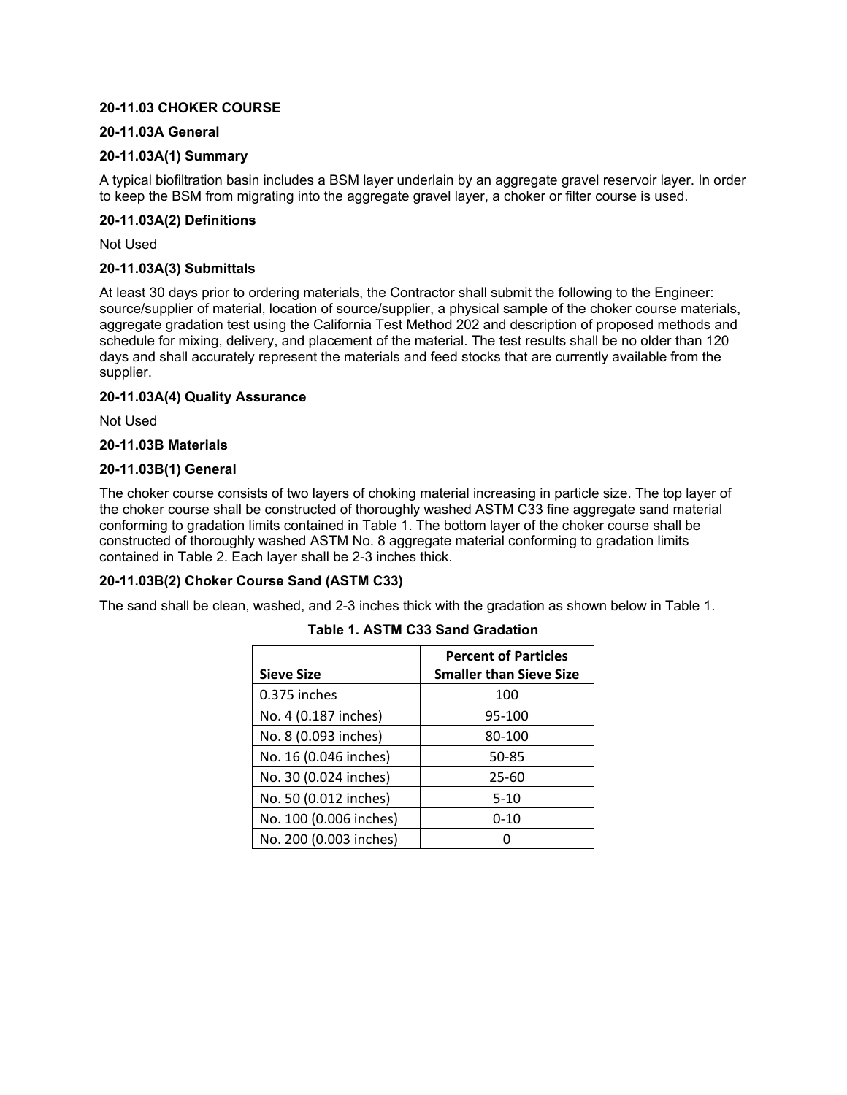## **20-11.03 CHOKER COURSE**

## **20-11.03A General**

## **20-11.03A(1) Summary**

A typical biofiltration basin includes a BSM layer underlain by an aggregate gravel reservoir layer. In order to keep the BSM from migrating into the aggregate gravel layer, a choker or filter course is used.

## **20-11.03A(2) Definitions**

Not Used

## **20-11.03A(3) Submittals**

At least 30 days prior to ordering materials, the Contractor shall submit the following to the Engineer: source/supplier of material, location of source/supplier, a physical sample of the choker course materials, aggregate gradation test using the California Test Method 202 and description of proposed methods and schedule for mixing, delivery, and placement of the material. The test results shall be no older than 120 days and shall accurately represent the materials and feed stocks that are currently available from the supplier.

## **20-11.03A(4) Quality Assurance**

Not Used

## **20-11.03B Materials**

#### **20-11.03B(1) General**

The choker course consists of two layers of choking material increasing in particle size. The top layer of the choker course shall be constructed of thoroughly washed ASTM C33 fine aggregate sand material conforming to gradation limits contained in Table 1. The bottom layer of the choker course shall be constructed of thoroughly washed ASTM No. 8 aggregate material conforming to gradation limits contained in Table 2. Each layer shall be 2-3 inches thick.

#### **20-11.03B(2) Choker Course Sand (ASTM C33)**

The sand shall be clean, washed, and 2-3 inches thick with the gradation as shown below in Table 1.

|                        | <b>Percent of Particles</b>    |
|------------------------|--------------------------------|
| Sieve Size             | <b>Smaller than Sieve Size</b> |
| 0.375 inches           | 100                            |
| No. 4 (0.187 inches)   | 95-100                         |
| No. 8 (0.093 inches)   | 80-100                         |
| No. 16 (0.046 inches)  | 50-85                          |
| No. 30 (0.024 inches)  | $25 - 60$                      |
| No. 50 (0.012 inches)  | 5-10                           |
| No. 100 (0.006 inches) | $0 - 10$                       |
| No. 200 (0.003 inches) |                                |

#### **Table 1. ASTM C33 Sand Gradation**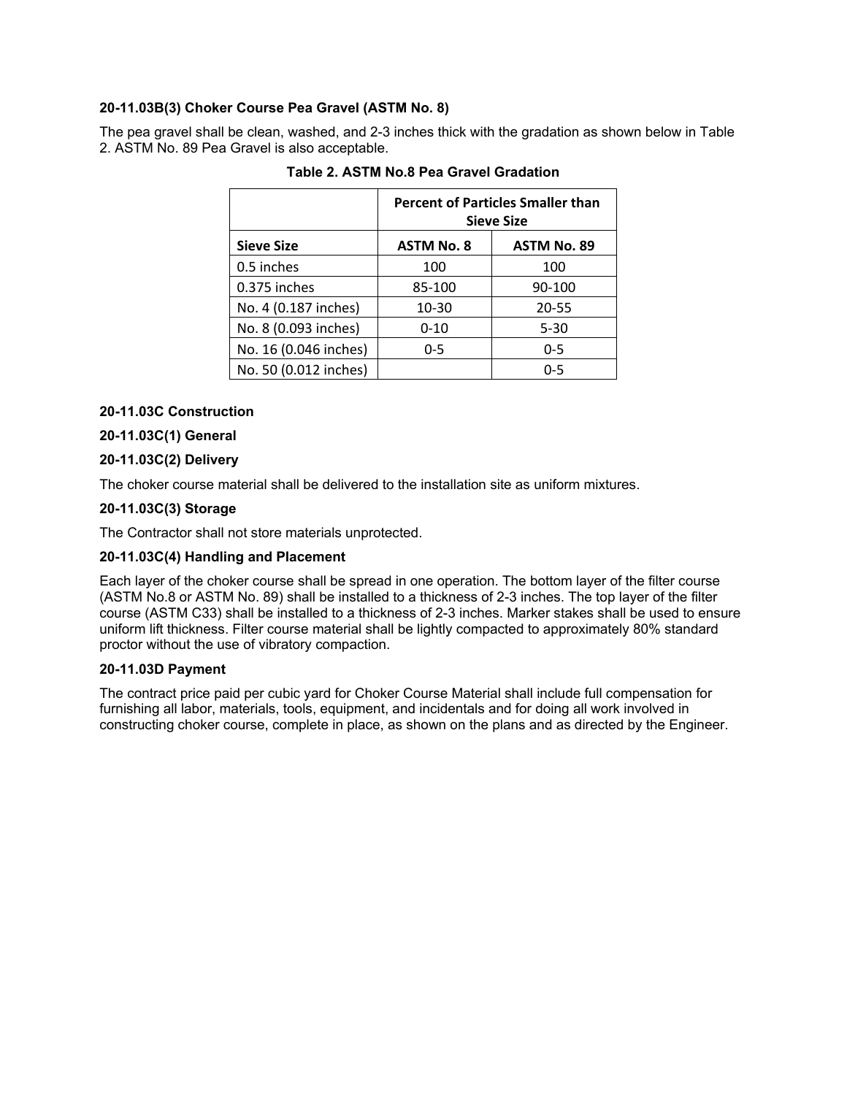# **20-11.03B(3) Choker Course Pea Gravel (ASTM No. 8)**

The pea gravel shall be clean, washed, and 2-3 inches thick with the gradation as shown below in Table 2. ASTM No. 89 Pea Gravel is also acceptable.

|                       | <b>Percent of Particles Smaller than</b><br><b>Sieve Size</b> |                    |  |
|-----------------------|---------------------------------------------------------------|--------------------|--|
| <b>Sieve Size</b>     | <b>ASTM No. 8</b>                                             | <b>ASTM No. 89</b> |  |
| 0.5 inches            | 100                                                           | 100                |  |
| 0.375 inches          | 85-100                                                        | 90-100             |  |
| No. 4 (0.187 inches)  | 10-30                                                         | 20-55              |  |
| No. 8 (0.093 inches)  | $0 - 10$                                                      | $5 - 30$           |  |
| No. 16 (0.046 inches) | 0-5                                                           | $0 - 5$            |  |
| No. 50 (0.012 inches) |                                                               | $0 - 5$            |  |

## **Table 2. ASTM No.8 Pea Gravel Gradation**

# **20-11.03C Construction**

# **20-11.03C(1) General**

# **20-11.03C(2) Delivery**

The choker course material shall be delivered to the installation site as uniform mixtures.

## **20-11.03C(3) Storage**

The Contractor shall not store materials unprotected.

#### **20-11.03C(4) Handling and Placement**

Each layer of the choker course shall be spread in one operation. The bottom layer of the filter course (ASTM No.8 or ASTM No. 89) shall be installed to a thickness of 2-3 inches. The top layer of the filter course (ASTM C33) shall be installed to a thickness of 2-3 inches. Marker stakes shall be used to ensure uniform lift thickness. Filter course material shall be lightly compacted to approximately 80% standard proctor without the use of vibratory compaction.

## **20-11.03D Payment**

The contract price paid per cubic yard for Choker Course Material shall include full compensation for furnishing all labor, materials, tools, equipment, and incidentals and for doing all work involved in constructing choker course, complete in place, as shown on the plans and as directed by the Engineer.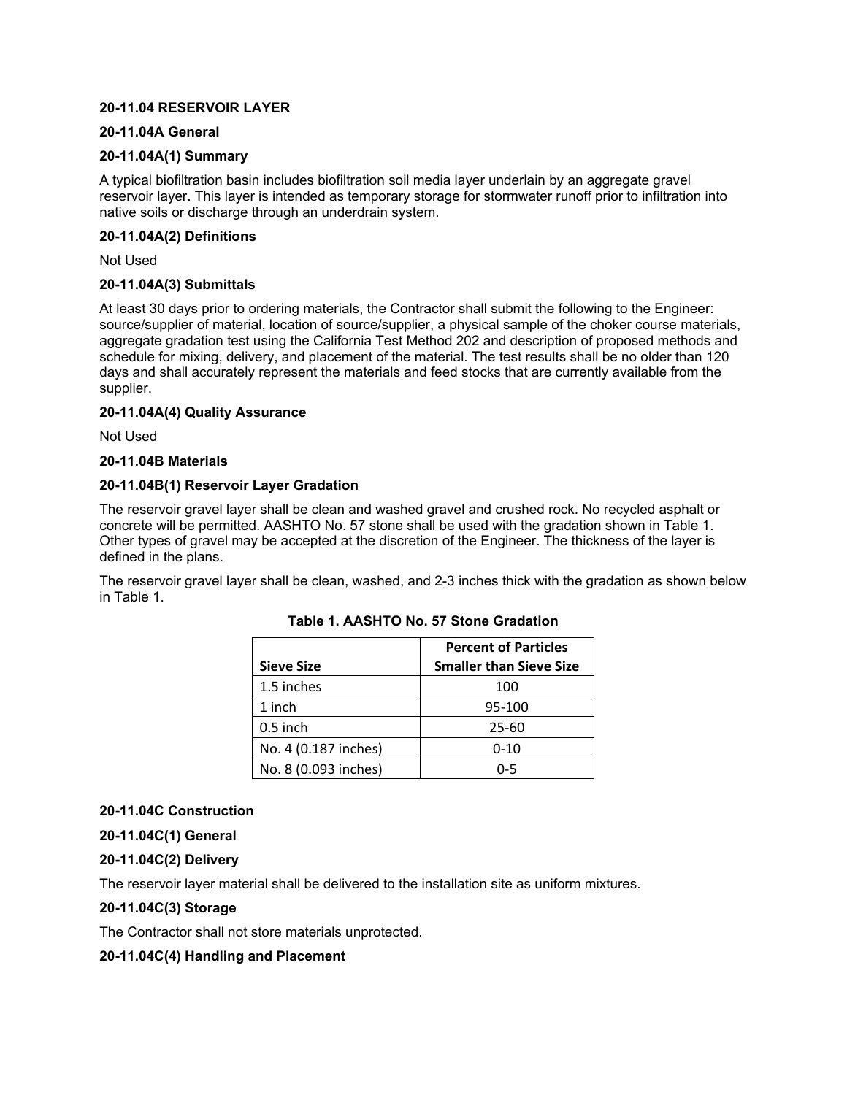## **20-11.04 RESERVOIR LAYER**

### **20-11.04A General**

#### **20-11.04A(1) Summary**

A typical biofiltration basin includes biofiltration soil media layer underlain by an aggregate gravel reservoir layer. This layer is intended as temporary storage for stormwater runoff prior to infiltration into native soils or discharge through an underdrain system.

## **20-11.04A(2) Definitions**

Not Used

#### **20-11.04A(3) Submittals**

At least 30 days prior to ordering materials, the Contractor shall submit the following to the Engineer: source/supplier of material, location of source/supplier, a physical sample of the choker course materials, aggregate gradation test using the California Test Method 202 and description of proposed methods and schedule for mixing, delivery, and placement of the material. The test results shall be no older than 120 days and shall accurately represent the materials and feed stocks that are currently available from the supplier.

#### **20-11.04A(4) Quality Assurance**

Not Used

#### **20-11.04B Materials**

#### **20-11.04B(1) Reservoir Layer Gradation**

The reservoir gravel layer shall be clean and washed gravel and crushed rock. No recycled asphalt or concrete will be permitted. AASHTO No. 57 stone shall be used with the gradation shown in Table 1. Other types of gravel may be accepted at the discretion of the Engineer. The thickness of the layer is defined in the plans.

The reservoir gravel layer shall be clean, washed, and 2-3 inches thick with the gradation as shown below in Table 1.

|                      | <b>Percent of Particles</b>    |
|----------------------|--------------------------------|
| <b>Sieve Size</b>    | <b>Smaller than Sieve Size</b> |
| 1.5 inches           | 100                            |
| 1 inch               | 95-100                         |
| $0.5$ inch           | 25-60                          |
| No. 4 (0.187 inches) | $0 - 10$                       |
| No. 8 (0.093 inches) | በ-5                            |

#### **Table 1. AASHTO No. 57 Stone Gradation**

#### **20-11.04C Construction**

**20-11.04C(1) General**

#### **20-11.04C(2) Delivery**

The reservoir layer material shall be delivered to the installation site as uniform mixtures.

#### **20-11.04C(3) Storage**

The Contractor shall not store materials unprotected.

#### **20-11.04C(4) Handling and Placement**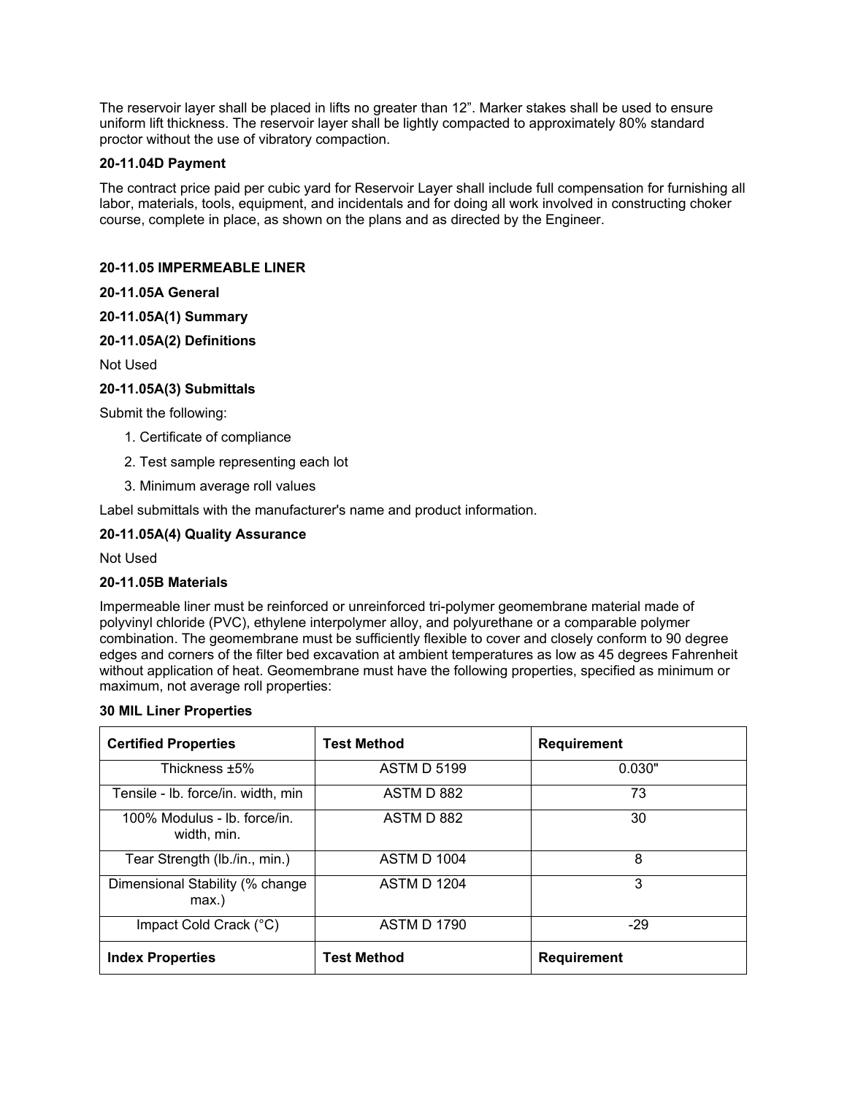The reservoir layer shall be placed in lifts no greater than 12". Marker stakes shall be used to ensure uniform lift thickness. The reservoir layer shall be lightly compacted to approximately 80% standard proctor without the use of vibratory compaction.

## **20-11.04D Payment**

The contract price paid per cubic yard for Reservoir Layer shall include full compensation for furnishing all labor, materials, tools, equipment, and incidentals and for doing all work involved in constructing choker course, complete in place, as shown on the plans and as directed by the Engineer.

## **20-11.05 IMPERMEABLE LINER**

## **20-11.05A General**

# **20-11.05A(1) Summary**

## **20-11.05A(2) Definitions**

Not Used

# **20-11.05A(3) Submittals**

Submit the following:

- 1. Certificate of compliance
- 2. Test sample representing each lot
- 3. Minimum average roll values

Label submittals with the manufacturer's name and product information.

## **20-11.05A(4) Quality Assurance**

Not Used

#### **20-11.05B Materials**

Impermeable liner must be reinforced or unreinforced tri-polymer geomembrane material made of polyvinyl chloride (PVC), ethylene interpolymer alloy, and polyurethane or a comparable polymer combination. The geomembrane must be sufficiently flexible to cover and closely conform to 90 degree edges and corners of the filter bed excavation at ambient temperatures as low as 45 degrees Fahrenheit without application of heat. Geomembrane must have the following properties, specified as minimum or maximum, not average roll properties:

#### **30 MIL Liner Properties**

| <b>Certified Properties</b>                 | <b>Test Method</b> | <b>Requirement</b> |
|---------------------------------------------|--------------------|--------------------|
| Thickness ±5%                               | <b>ASTM D 5199</b> | 0.030"             |
| Tensile - Ib. force/in. width, min          | ASTM D 882         | 73                 |
| 100% Modulus - Ib. force/in.<br>width, min. | ASTM D 882         | 30                 |
| Tear Strength (lb./in., min.)               | <b>ASTM D 1004</b> | 8                  |
| Dimensional Stability (% change<br>$max.$ ) | <b>ASTM D 1204</b> | 3                  |
| Impact Cold Crack (°C)                      | <b>ASTM D 1790</b> | $-29$              |
| <b>Index Properties</b>                     | <b>Test Method</b> | <b>Requirement</b> |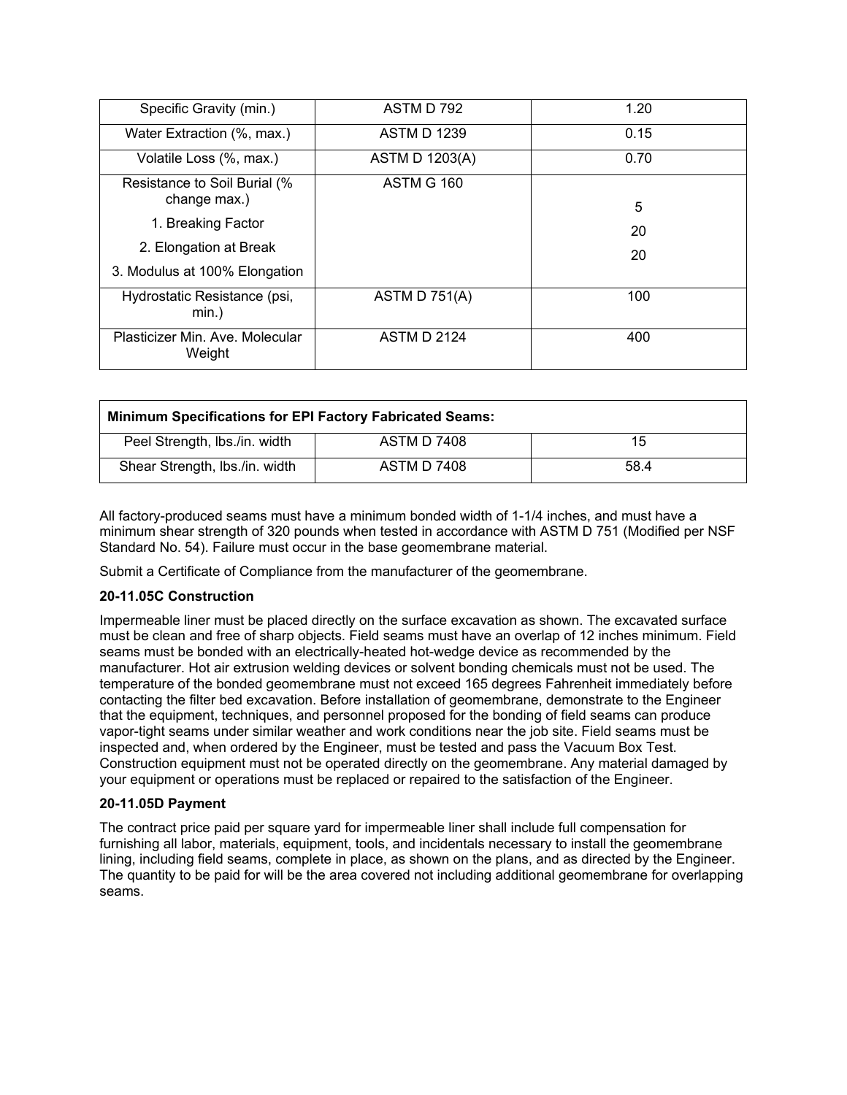| Specific Gravity (min.)                      | ASTM D 792            | 1.20 |
|----------------------------------------------|-----------------------|------|
| Water Extraction (%, max.)                   | <b>ASTM D 1239</b>    | 0.15 |
| Volatile Loss (%, max.)                      | <b>ASTM D 1203(A)</b> | 0.70 |
| Resistance to Soil Burial (%<br>change max.) | <b>ASTM G 160</b>     |      |
|                                              |                       | 5    |
| 1. Breaking Factor                           |                       | 20   |
| 2. Elongation at Break                       |                       | 20   |
| 3. Modulus at 100% Elongation                |                       |      |
| Hydrostatic Resistance (psi,<br>$min.$ )     | ASTM D $751(A)$       | 100  |
| Plasticizer Min. Ave. Molecular<br>Weight    | <b>ASTM D 2124</b>    | 400  |

| <b>Minimum Specifications for EPI Factory Fabricated Seams:</b> |                    |      |  |
|-----------------------------------------------------------------|--------------------|------|--|
| Peel Strength, Ibs./in. width                                   | ASTM D 7408        | 15   |  |
| Shear Strength, Ibs./in. width                                  | <b>ASTM D 7408</b> | 58.4 |  |

All factory-produced seams must have a minimum bonded width of 1-1/4 inches, and must have a minimum shear strength of 320 pounds when tested in accordance with ASTM D 751 (Modified per NSF Standard No. 54). Failure must occur in the base geomembrane material.

Submit a Certificate of Compliance from the manufacturer of the geomembrane.

# **20-11.05C Construction**

Impermeable liner must be placed directly on the surface excavation as shown. The excavated surface must be clean and free of sharp objects. Field seams must have an overlap of 12 inches minimum. Field seams must be bonded with an electrically-heated hot-wedge device as recommended by the manufacturer. Hot air extrusion welding devices or solvent bonding chemicals must not be used. The temperature of the bonded geomembrane must not exceed 165 degrees Fahrenheit immediately before contacting the filter bed excavation. Before installation of geomembrane, demonstrate to the Engineer that the equipment, techniques, and personnel proposed for the bonding of field seams can produce vapor-tight seams under similar weather and work conditions near the job site. Field seams must be inspected and, when ordered by the Engineer, must be tested and pass the Vacuum Box Test. Construction equipment must not be operated directly on the geomembrane. Any material damaged by your equipment or operations must be replaced or repaired to the satisfaction of the Engineer.

#### **20-11.05D Payment**

The contract price paid per square yard for impermeable liner shall include full compensation for furnishing all labor, materials, equipment, tools, and incidentals necessary to install the geomembrane lining, including field seams, complete in place, as shown on the plans, and as directed by the Engineer. The quantity to be paid for will be the area covered not including additional geomembrane for overlapping seams.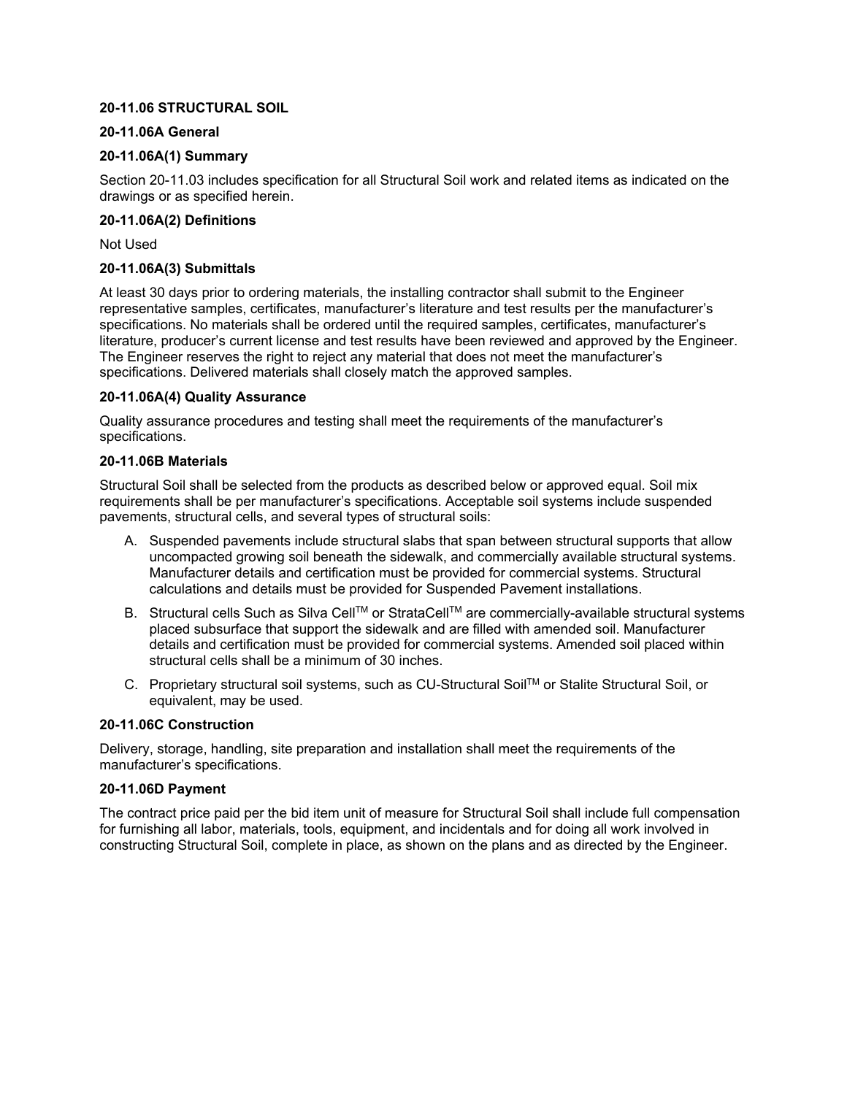# **20-11.06 STRUCTURAL SOIL**

## **20-11.06A General**

## **20-11.06A(1) Summary**

Section 20-11.03 includes specification for all Structural Soil work and related items as indicated on the drawings or as specified herein.

## **20-11.06A(2) Definitions**

Not Used

## **20-11.06A(3) Submittals**

At least 30 days prior to ordering materials, the installing contractor shall submit to the Engineer representative samples, certificates, manufacturer's literature and test results per the manufacturer's specifications. No materials shall be ordered until the required samples, certificates, manufacturer's literature, producer's current license and test results have been reviewed and approved by the Engineer. The Engineer reserves the right to reject any material that does not meet the manufacturer's specifications. Delivered materials shall closely match the approved samples.

## **20-11.06A(4) Quality Assurance**

Quality assurance procedures and testing shall meet the requirements of the manufacturer's specifications.

#### **20-11.06B Materials**

Structural Soil shall be selected from the products as described below or approved equal. Soil mix requirements shall be per manufacturer's specifications. Acceptable soil systems include suspended pavements, structural cells, and several types of structural soils:

- A. Suspended pavements include structural slabs that span between structural supports that allow uncompacted growing soil beneath the sidewalk, and commercially available structural systems. Manufacturer details and certification must be provided for commercial systems. Structural calculations and details must be provided for Suspended Pavement installations.
- B. Structural cells Such as Silva Cell™ or StrataCell™ are commercially-available structural systems placed subsurface that support the sidewalk and are filled with amended soil. Manufacturer details and certification must be provided for commercial systems. Amended soil placed within structural cells shall be a minimum of 30 inches.
- C. Proprietary structural soil systems, such as CU-Structural Soil™ or Stalite Structural Soil, or equivalent, may be used.

#### **20-11.06C Construction**

Delivery, storage, handling, site preparation and installation shall meet the requirements of the manufacturer's specifications.

#### **20-11.06D Payment**

The contract price paid per the bid item unit of measure for Structural Soil shall include full compensation for furnishing all labor, materials, tools, equipment, and incidentals and for doing all work involved in constructing Structural Soil, complete in place, as shown on the plans and as directed by the Engineer.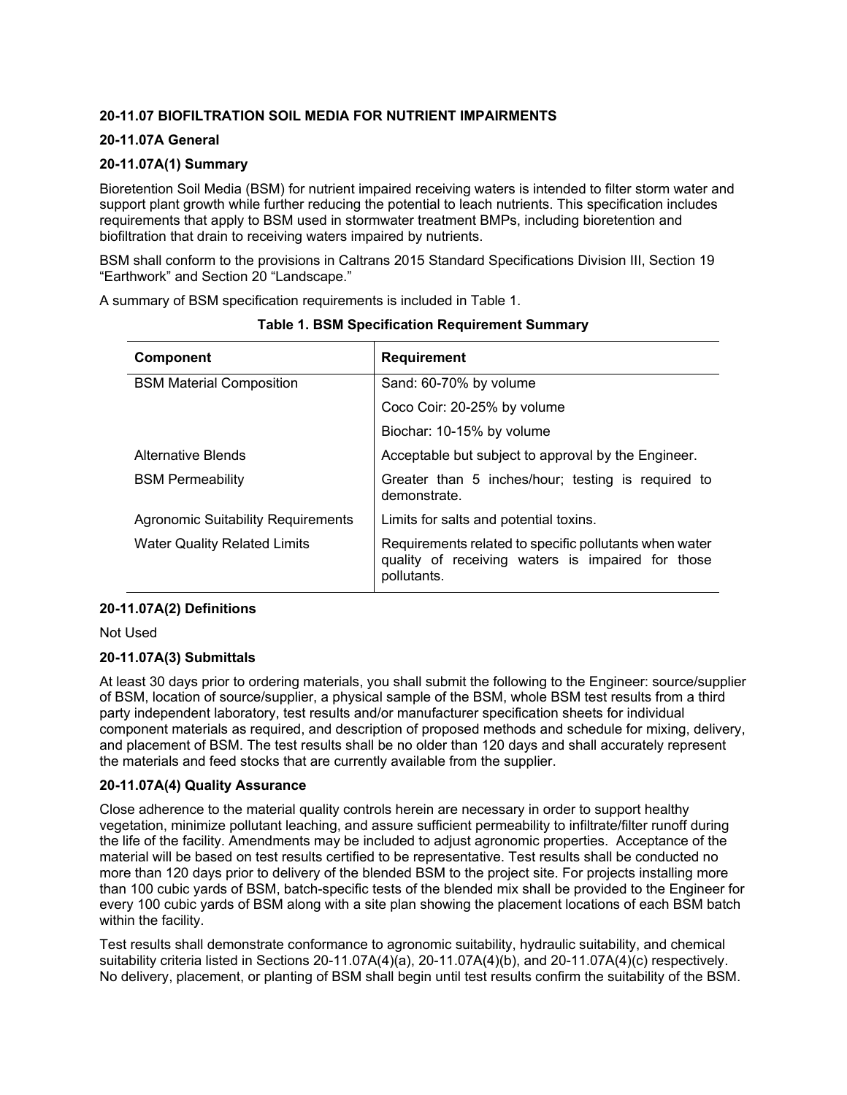# **20-11.07 BIOFILTRATION SOIL MEDIA FOR NUTRIENT IMPAIRMENTS**

# **20-11.07A General**

# **20-11.07A(1) Summary**

Bioretention Soil Media (BSM) for nutrient impaired receiving waters is intended to filter storm water and support plant growth while further reducing the potential to leach nutrients. This specification includes requirements that apply to BSM used in stormwater treatment BMPs, including bioretention and biofiltration that drain to receiving waters impaired by nutrients.

BSM shall conform to the provisions in Caltrans 2015 Standard Specifications Division III, Section 19 "Earthwork" and Section 20 "Landscape."

A summary of BSM specification requirements is included in Table 1.

| <b>Component</b>                          | <b>Requirement</b>                                                                                                         |
|-------------------------------------------|----------------------------------------------------------------------------------------------------------------------------|
| <b>BSM Material Composition</b>           | Sand: 60-70% by volume                                                                                                     |
|                                           | Coco Coir: 20-25% by volume                                                                                                |
|                                           | Biochar: 10-15% by volume                                                                                                  |
| Alternative Blends                        | Acceptable but subject to approval by the Engineer.                                                                        |
| <b>BSM Permeability</b>                   | Greater than 5 inches/hour; testing is required to<br>demonstrate.                                                         |
| <b>Agronomic Suitability Requirements</b> | Limits for salts and potential toxins.                                                                                     |
| <b>Water Quality Related Limits</b>       | Requirements related to specific pollutants when water<br>quality of receiving waters is impaired for those<br>pollutants. |

**Table 1. BSM Specification Requirement Summary**

# **20-11.07A(2) Definitions**

Not Used

# **20-11.07A(3) Submittals**

At least 30 days prior to ordering materials, you shall submit the following to the Engineer: source/supplier of BSM, location of source/supplier, a physical sample of the BSM, whole BSM test results from a third party independent laboratory, test results and/or manufacturer specification sheets for individual component materials as required, and description of proposed methods and schedule for mixing, delivery, and placement of BSM. The test results shall be no older than 120 days and shall accurately represent the materials and feed stocks that are currently available from the supplier.

# **20-11.07A(4) Quality Assurance**

Close adherence to the material quality controls herein are necessary in order to support healthy vegetation, minimize pollutant leaching, and assure sufficient permeability to infiltrate/filter runoff during the life of the facility. Amendments may be included to adjust agronomic properties. Acceptance of the material will be based on test results certified to be representative. Test results shall be conducted no more than 120 days prior to delivery of the blended BSM to the project site. For projects installing more than 100 cubic yards of BSM, batch-specific tests of the blended mix shall be provided to the Engineer for every 100 cubic yards of BSM along with a site plan showing the placement locations of each BSM batch within the facility.

Test results shall demonstrate conformance to agronomic suitability, hydraulic suitability, and chemical suitability criteria listed in Sections 20-11.07A(4)(a), 20-11.07A(4)(b), and 20-11.07A(4)(c) respectively. No delivery, placement, or planting of BSM shall begin until test results confirm the suitability of the BSM.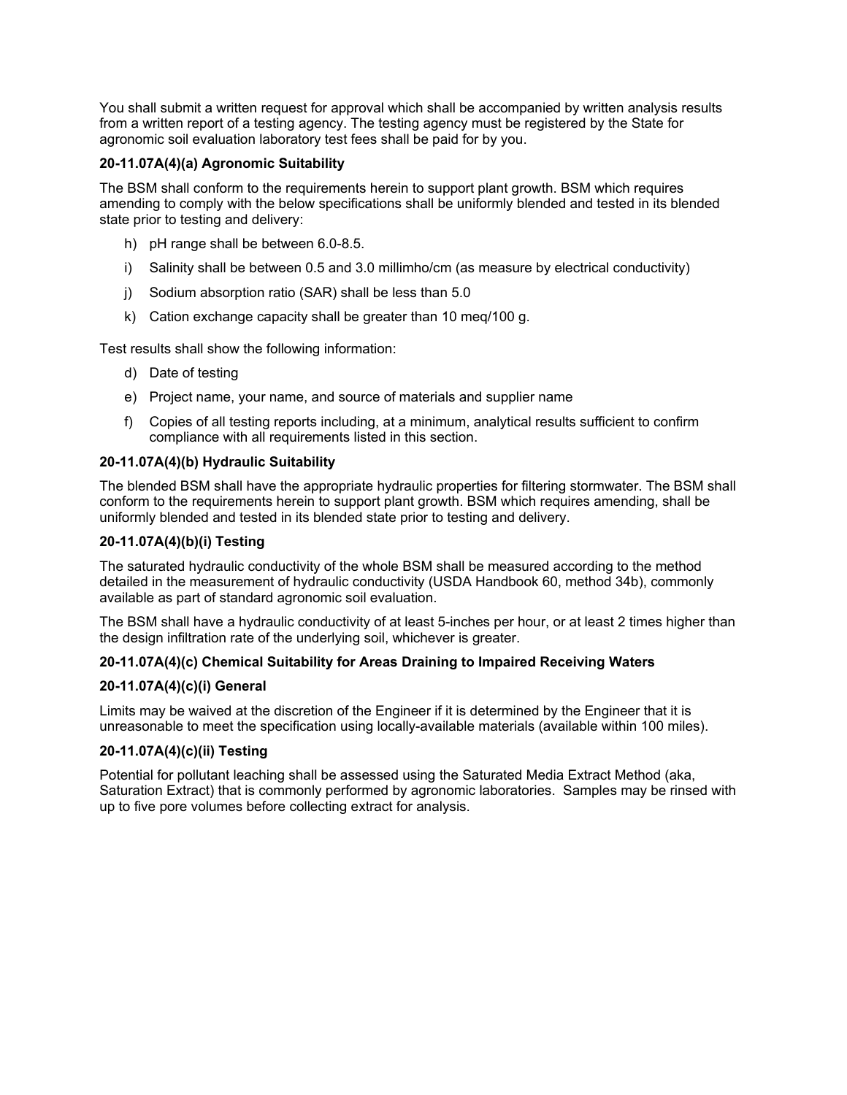You shall submit a written request for approval which shall be accompanied by written analysis results from a written report of a testing agency. The testing agency must be registered by the State for agronomic soil evaluation laboratory test fees shall be paid for by you.

# **20-11.07A(4)(a) Agronomic Suitability**

The BSM shall conform to the requirements herein to support plant growth. BSM which requires amending to comply with the below specifications shall be uniformly blended and tested in its blended state prior to testing and delivery:

- h) pH range shall be between 6.0-8.5.
- i) Salinity shall be between 0.5 and 3.0 millimho/cm (as measure by electrical conductivity)
- j) Sodium absorption ratio (SAR) shall be less than 5.0
- k) Cation exchange capacity shall be greater than 10 meq/100 g.

Test results shall show the following information:

- d) Date of testing
- e) Project name, your name, and source of materials and supplier name
- f) Copies of all testing reports including, at a minimum, analytical results sufficient to confirm compliance with all requirements listed in this section.

# **20-11.07A(4)(b) Hydraulic Suitability**

The blended BSM shall have the appropriate hydraulic properties for filtering stormwater. The BSM shall conform to the requirements herein to support plant growth. BSM which requires amending, shall be uniformly blended and tested in its blended state prior to testing and delivery.

## **20-11.07A(4)(b)(i) Testing**

The saturated hydraulic conductivity of the whole BSM shall be measured according to the method detailed in the measurement of hydraulic conductivity (USDA Handbook 60, method 34b), commonly available as part of standard agronomic soil evaluation.

The BSM shall have a hydraulic conductivity of at least 5-inches per hour, or at least 2 times higher than the design infiltration rate of the underlying soil, whichever is greater.

# **20-11.07A(4)(c) Chemical Suitability for Areas Draining to Impaired Receiving Waters**

#### **20-11.07A(4)(c)(i) General**

Limits may be waived at the discretion of the Engineer if it is determined by the Engineer that it is unreasonable to meet the specification using locally-available materials (available within 100 miles).

# **20-11.07A(4)(c)(ii) Testing**

Potential for pollutant leaching shall be assessed using the Saturated Media Extract Method (aka, Saturation Extract) that is commonly performed by agronomic laboratories. Samples may be rinsed with up to five pore volumes before collecting extract for analysis.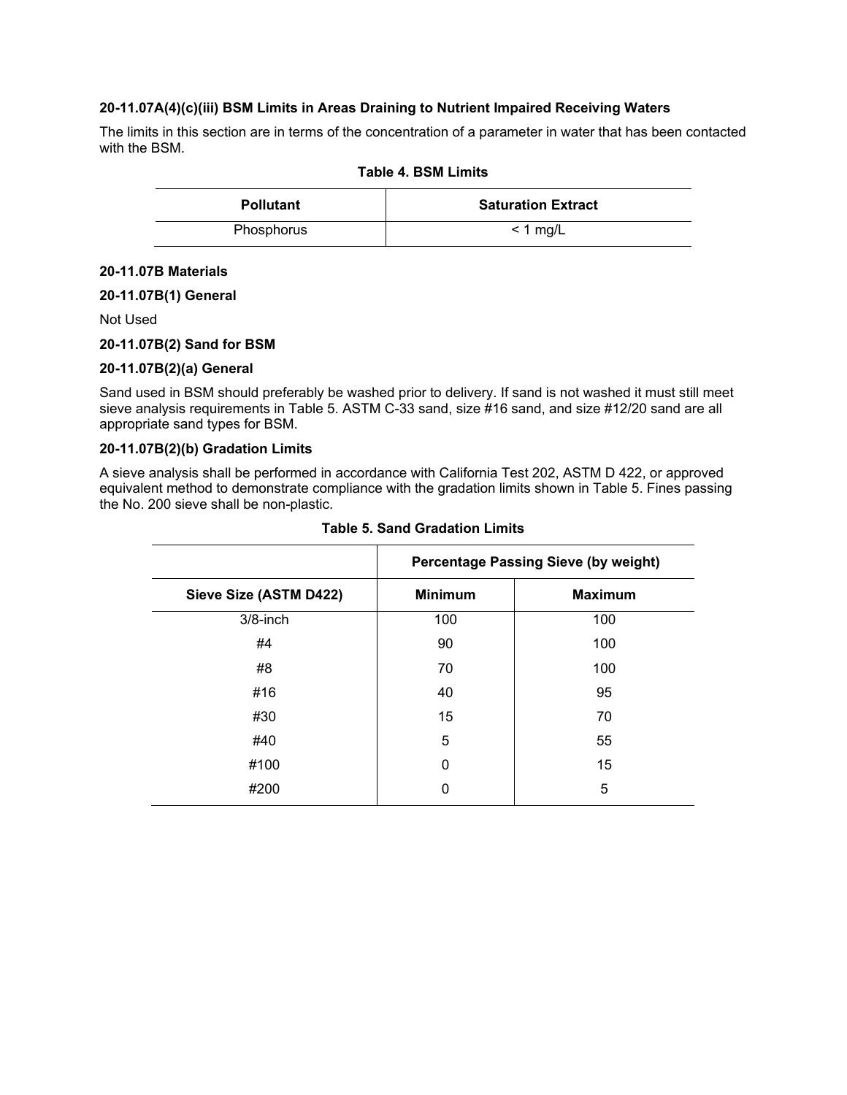## **20-11.07A(4)(c)(iii) BSM Limits in Areas Draining to Nutrient Impaired Receiving Waters**

The limits in this section are in terms of the concentration of a parameter in water that has been contacted with the BSM.

| Table 4. BSM Limits |                           |  |
|---------------------|---------------------------|--|
| <b>Pollutant</b>    | <b>Saturation Extract</b> |  |
| Phosphorus          | $<$ 1 mg/L                |  |

#### **20-11.07B Materials**

## **20-11.07B(1) General**

Not Used

## **20-11.07B(2) Sand for BSM**

#### **20-11.07B(2)(a) General**

Sand used in BSM should preferably be washed prior to delivery. If sand is not washed it must still meet sieve analysis requirements in Table 5. ASTM C-33 sand, size #16 sand, and size #12/20 sand are all appropriate sand types for BSM.

## **20-11.07B(2)(b) Gradation Limits**

A sieve analysis shall be performed in accordance with California Test 202, ASTM D 422, or approved equivalent method to demonstrate compliance with the gradation limits shown in Table 5. Fines passing the No. 200 sieve shall be non-plastic.

|                        | <b>Percentage Passing Sieve (by weight)</b> |                |
|------------------------|---------------------------------------------|----------------|
| Sieve Size (ASTM D422) | <b>Minimum</b>                              | <b>Maximum</b> |
| $3/8$ -inch            | 100                                         | 100            |
| #4                     | 90                                          | 100            |
| #8                     | 70                                          | 100            |
| #16                    | 40                                          | 95             |
| #30                    | 15                                          | 70             |
| #40                    | 5                                           | 55             |
| #100                   | 0                                           | 15             |
| #200                   | 0                                           | 5              |
|                        |                                             |                |

#### **Table 5. Sand Gradation Limits**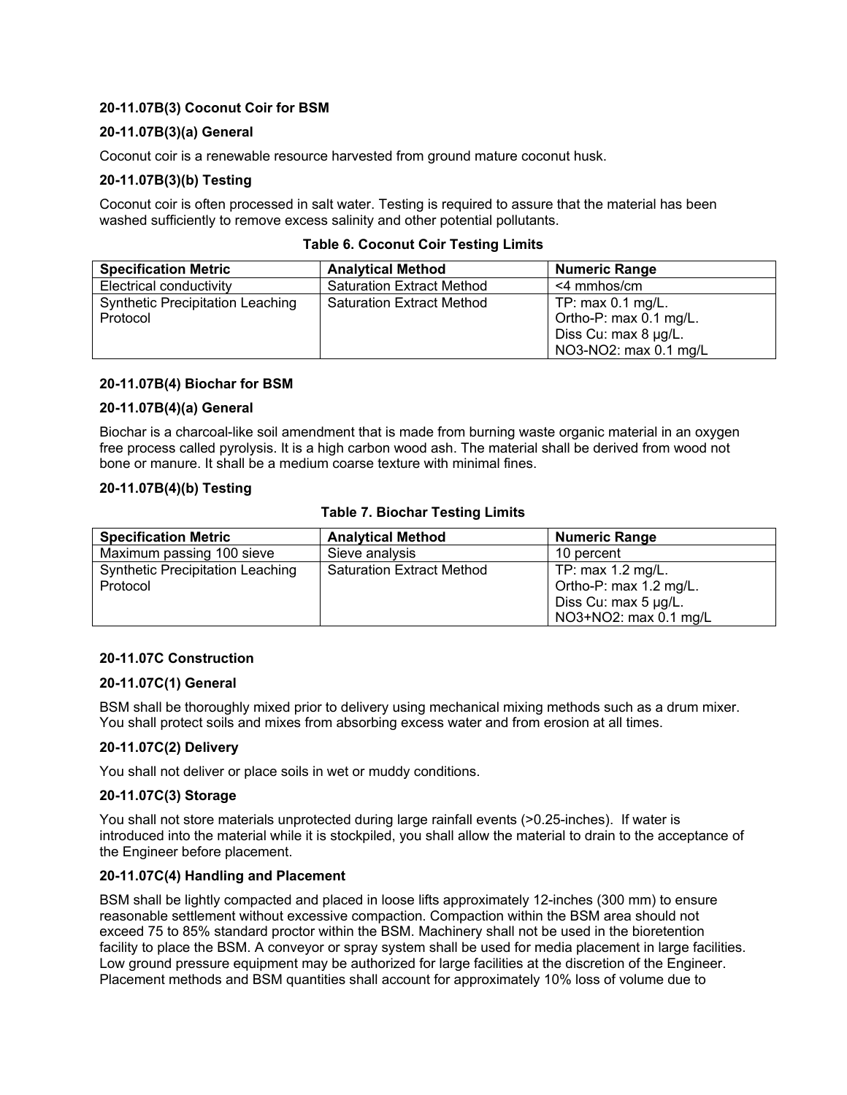# **20-11.07B(3) Coconut Coir for BSM**

## **20-11.07B(3)(a) General**

Coconut coir is a renewable resource harvested from ground mature coconut husk.

## **20-11.07B(3)(b) Testing**

Coconut coir is often processed in salt water. Testing is required to assure that the material has been washed sufficiently to remove excess salinity and other potential pollutants.

| <b>Specification Metric</b>             | <b>Analytical Method</b>         | <b>Numeric Range</b>   |
|-----------------------------------------|----------------------------------|------------------------|
| Electrical conductivity                 | <b>Saturation Extract Method</b> | $<$ 4 mmhos/cm         |
| <b>Synthetic Precipitation Leaching</b> | <b>Saturation Extract Method</b> | TP: $max 0.1$ mg/L.    |
| Protocol                                |                                  | Ortho-P: max 0.1 mg/L. |
|                                         |                                  | Diss Cu: max 8 µg/L.   |
|                                         |                                  | NO3-NO2: max 0.1 mg/L  |

#### **Table 6. Coconut Coir Testing Limits**

#### **20-11.07B(4) Biochar for BSM**

#### **20-11.07B(4)(a) General**

Biochar is a charcoal-like soil amendment that is made from burning waste organic material in an oxygen free process called pyrolysis. It is a high carbon wood ash. The material shall be derived from wood not bone or manure. It shall be a medium coarse texture with minimal fines.

#### **20-11.07B(4)(b) Testing**

#### **Table 7. Biochar Testing Limits**

| <b>Specification Metric</b>             | <b>Analytical Method</b>         | <b>Numeric Range</b>   |
|-----------------------------------------|----------------------------------|------------------------|
| Maximum passing 100 sieve               | Sieve analysis                   | 10 percent             |
| <b>Synthetic Precipitation Leaching</b> | <b>Saturation Extract Method</b> | TP: $max 1.2$ mg/L.    |
| Protocol                                |                                  | Ortho-P: max 1.2 mg/L. |
|                                         |                                  | Diss Cu: max 5 µg/L.   |
|                                         |                                  | NO3+NO2: max 0.1 mg/L  |

#### **20-11.07C Construction**

## **20-11.07C(1) General**

BSM shall be thoroughly mixed prior to delivery using mechanical mixing methods such as a drum mixer. You shall protect soils and mixes from absorbing excess water and from erosion at all times.

#### **20-11.07C(2) Delivery**

You shall not deliver or place soils in wet or muddy conditions.

#### **20-11.07C(3) Storage**

You shall not store materials unprotected during large rainfall events (>0.25-inches). If water is introduced into the material while it is stockpiled, you shall allow the material to drain to the acceptance of the Engineer before placement.

#### **20-11.07C(4) Handling and Placement**

BSM shall be lightly compacted and placed in loose lifts approximately 12-inches (300 mm) to ensure reasonable settlement without excessive compaction. Compaction within the BSM area should not exceed 75 to 85% standard proctor within the BSM. Machinery shall not be used in the bioretention facility to place the BSM. A conveyor or spray system shall be used for media placement in large facilities. Low ground pressure equipment may be authorized for large facilities at the discretion of the Engineer. Placement methods and BSM quantities shall account for approximately 10% loss of volume due to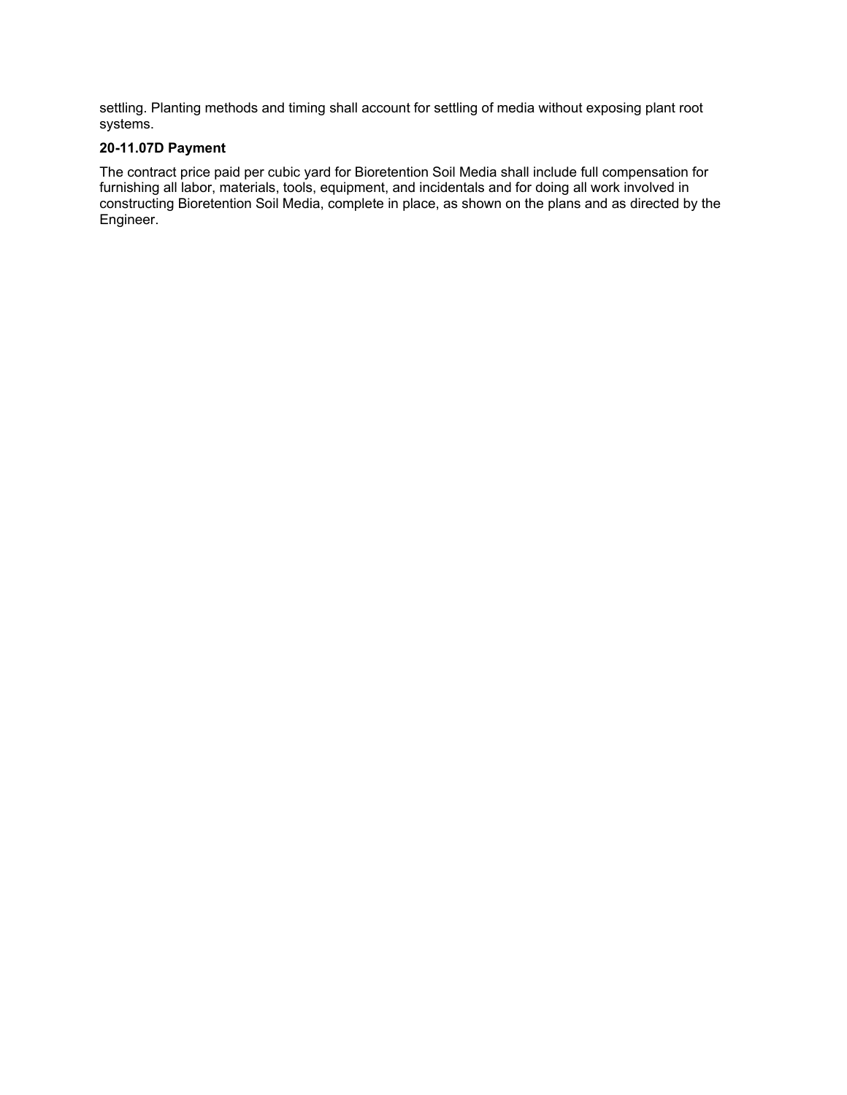settling. Planting methods and timing shall account for settling of media without exposing plant root systems.

# **20-11.07D Payment**

The contract price paid per cubic yard for Bioretention Soil Media shall include full compensation for furnishing all labor, materials, tools, equipment, and incidentals and for doing all work involved in constructing Bioretention Soil Media, complete in place, as shown on the plans and as directed by the Engineer.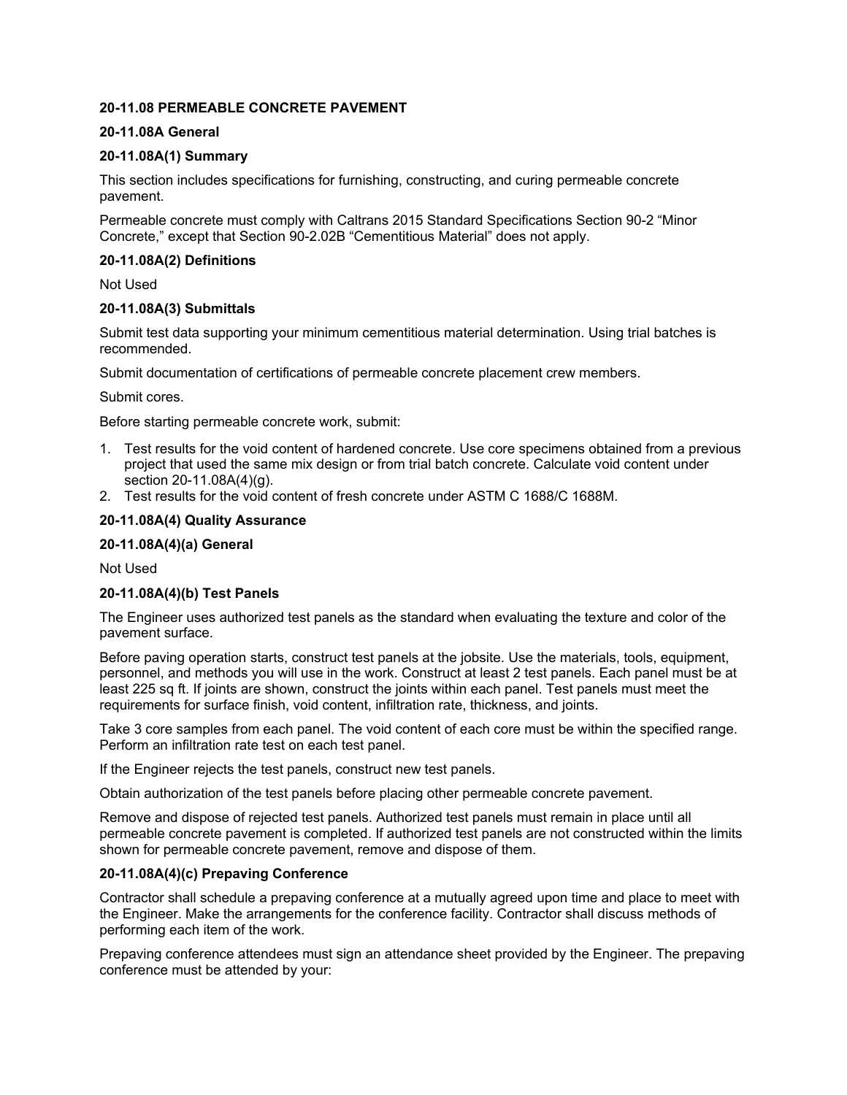## **20-11.08 PERMEABLE CONCRETE PAVEMENT**

## **20-11.08A General**

## **20-11.08A(1) Summary**

This section includes specifications for furnishing, constructing, and curing permeable concrete pavement.

Permeable concrete must comply with Caltrans 2015 Standard Specifications Section 90-2 "Minor Concrete," except that Section 90-2.02B "Cementitious Material" does not apply.

## **20-11.08A(2) Definitions**

Not Used

## **20-11.08A(3) Submittals**

Submit test data supporting your minimum cementitious material determination. Using trial batches is recommended.

Submit documentation of certifications of permeable concrete placement crew members.

Submit cores.

Before starting permeable concrete work, submit:

- 1. Test results for the void content of hardened concrete. Use core specimens obtained from a previous project that used the same mix design or from trial batch concrete. Calculate void content under section 20-11.08A(4)(g).
- 2. Test results for the void content of fresh concrete under ASTM C 1688/C 1688M.

## **20-11.08A(4) Quality Assurance**

## **20-11.08A(4)(a) General**

Not Used

#### **20-11.08A(4)(b) Test Panels**

The Engineer uses authorized test panels as the standard when evaluating the texture and color of the pavement surface.

Before paving operation starts, construct test panels at the jobsite. Use the materials, tools, equipment, personnel, and methods you will use in the work. Construct at least 2 test panels. Each panel must be at least 225 sq ft. If joints are shown, construct the joints within each panel. Test panels must meet the requirements for surface finish, void content, infiltration rate, thickness, and joints.

Take 3 core samples from each panel. The void content of each core must be within the specified range. Perform an infiltration rate test on each test panel.

If the Engineer rejects the test panels, construct new test panels.

Obtain authorization of the test panels before placing other permeable concrete pavement.

Remove and dispose of rejected test panels. Authorized test panels must remain in place until all permeable concrete pavement is completed. If authorized test panels are not constructed within the limits shown for permeable concrete pavement, remove and dispose of them.

#### **20-11.08A(4)(c) Prepaving Conference**

Contractor shall schedule a prepaving conference at a mutually agreed upon time and place to meet with the Engineer. Make the arrangements for the conference facility. Contractor shall discuss methods of performing each item of the work.

Prepaving conference attendees must sign an attendance sheet provided by the Engineer. The prepaving conference must be attended by your: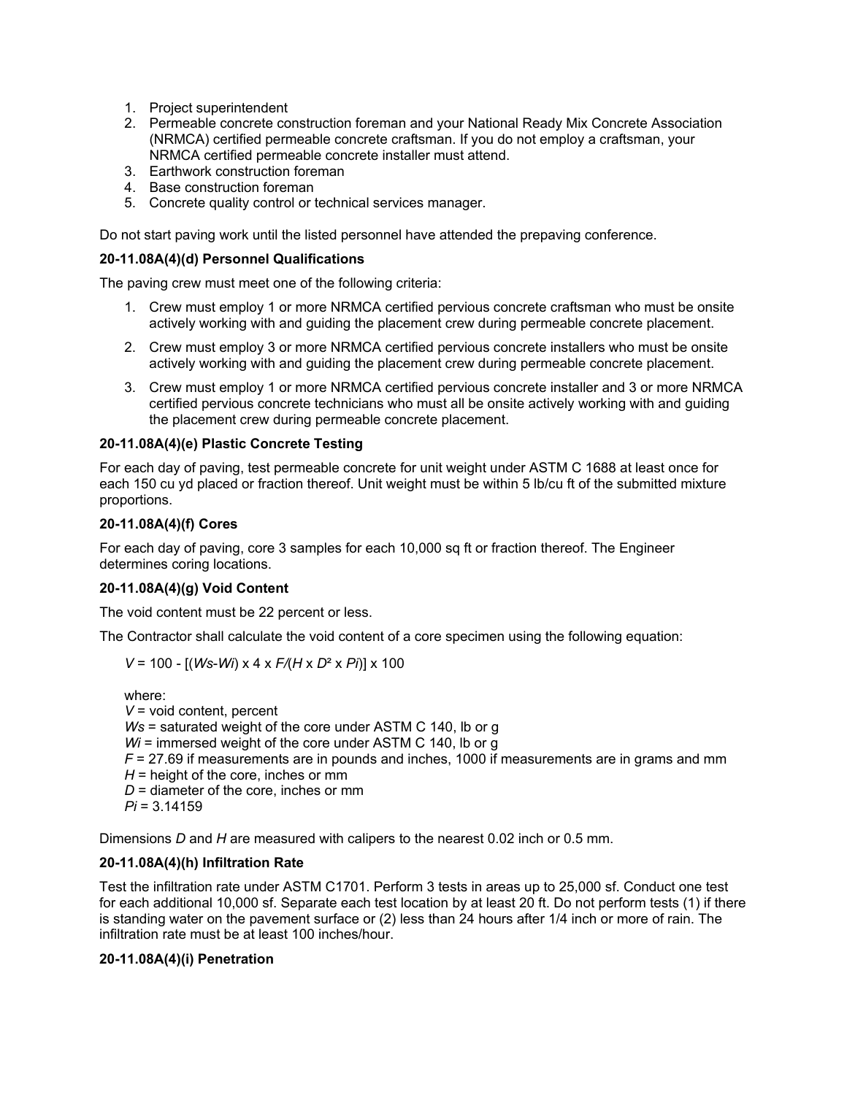- 1. Project superintendent
- 2. Permeable concrete construction foreman and your National Ready Mix Concrete Association (NRMCA) certified permeable concrete craftsman. If you do not employ a craftsman, your NRMCA certified permeable concrete installer must attend.
- 3. Earthwork construction foreman
- 4. Base construction foreman
- 5. Concrete quality control or technical services manager.

Do not start paving work until the listed personnel have attended the prepaving conference.

## **20-11.08A(4)(d) Personnel Qualifications**

The paving crew must meet one of the following criteria:

- 1. Crew must employ 1 or more NRMCA certified pervious concrete craftsman who must be onsite actively working with and guiding the placement crew during permeable concrete placement.
- 2. Crew must employ 3 or more NRMCA certified pervious concrete installers who must be onsite actively working with and guiding the placement crew during permeable concrete placement.
- 3. Crew must employ 1 or more NRMCA certified pervious concrete installer and 3 or more NRMCA certified pervious concrete technicians who must all be onsite actively working with and guiding the placement crew during permeable concrete placement.

## **20-11.08A(4)(e) Plastic Concrete Testing**

For each day of paving, test permeable concrete for unit weight under ASTM C 1688 at least once for each 150 cu yd placed or fraction thereof. Unit weight must be within 5 lb/cu ft of the submitted mixture proportions.

## **20-11.08A(4)(f) Cores**

For each day of paving, core 3 samples for each 10,000 sq ft or fraction thereof. The Engineer determines coring locations.

# **20-11.08A(4)(g) Void Content**

The void content must be 22 percent or less.

The Contractor shall calculate the void content of a core specimen using the following equation:

$$
V = 100 - [(Ws-Wi) \times 4 \times F/(H \times D^2 \times Pi)] \times 100
$$

where: *V* = void content, percent *Ws* = saturated weight of the core under ASTM C 140, lb or g *Wi* = immersed weight of the core under ASTM C 140, lb or g *F* = 27.69 if measurements are in pounds and inches, 1000 if measurements are in grams and mm  $H =$  height of the core, inches or mm *D* = diameter of the core, inches or mm *Pi* = 3.14159

Dimensions *D* and *H* are measured with calipers to the nearest 0.02 inch or 0.5 mm.

#### **20-11.08A(4)(h) Infiltration Rate**

Test the infiltration rate under ASTM C1701. Perform 3 tests in areas up to 25,000 sf. Conduct one test for each additional 10,000 sf. Separate each test location by at least 20 ft. Do not perform tests (1) if there is standing water on the pavement surface or (2) less than 24 hours after 1/4 inch or more of rain. The infiltration rate must be at least 100 inches/hour.

## **20-11.08A(4)(i) Penetration**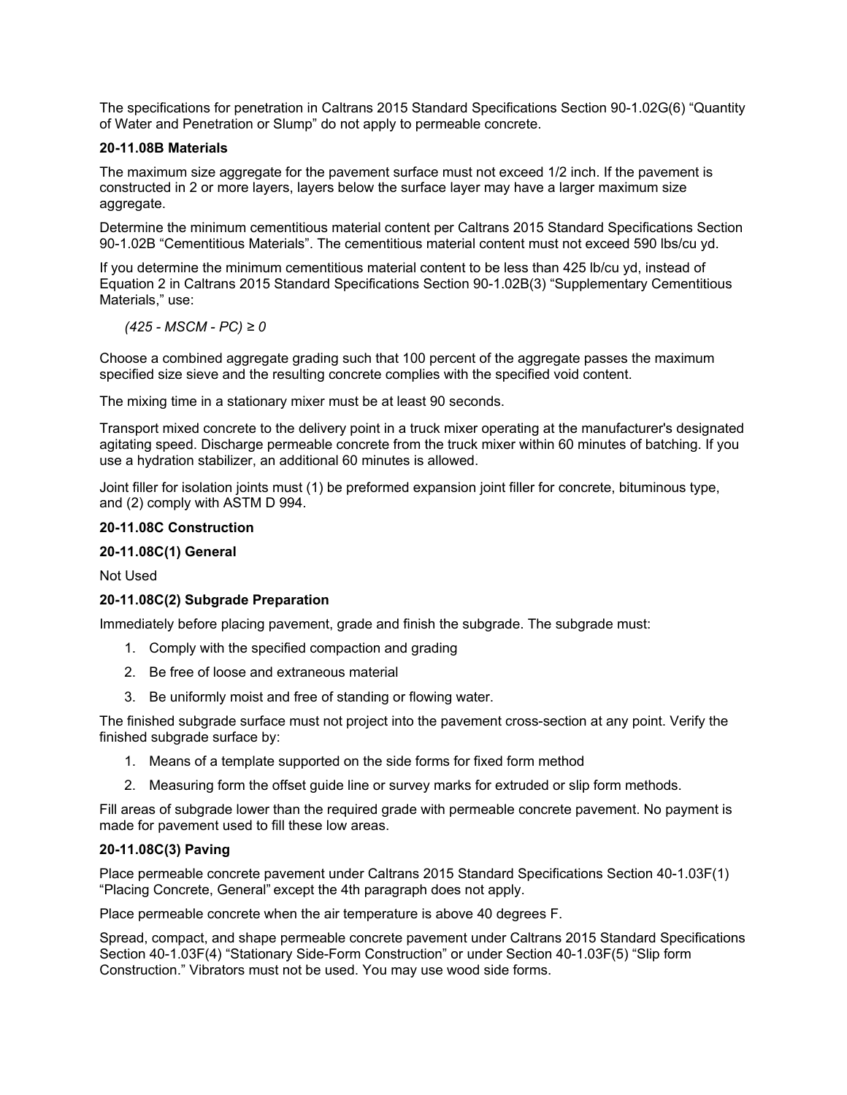The specifications for penetration in Caltrans 2015 Standard Specifications Section 90-1.02G(6) "Quantity of Water and Penetration or Slump" do not apply to permeable concrete.

## **20-11.08B Materials**

The maximum size aggregate for the pavement surface must not exceed 1/2 inch. If the pavement is constructed in 2 or more layers, layers below the surface layer may have a larger maximum size aggregate.

Determine the minimum cementitious material content per Caltrans 2015 Standard Specifications Section 90-1.02B "Cementitious Materials". The cementitious material content must not exceed 590 lbs/cu yd.

If you determine the minimum cementitious material content to be less than 425 lb/cu yd, instead of Equation 2 in Caltrans 2015 Standard Specifications Section 90-1.02B(3) "Supplementary Cementitious Materials," use:

*(425 - MSCM - PC) ≥ 0*

Choose a combined aggregate grading such that 100 percent of the aggregate passes the maximum specified size sieve and the resulting concrete complies with the specified void content.

The mixing time in a stationary mixer must be at least 90 seconds.

Transport mixed concrete to the delivery point in a truck mixer operating at the manufacturer's designated agitating speed. Discharge permeable concrete from the truck mixer within 60 minutes of batching. If you use a hydration stabilizer, an additional 60 minutes is allowed.

Joint filler for isolation joints must (1) be preformed expansion joint filler for concrete, bituminous type, and (2) comply with ASTM D 994.

#### **20-11.08C Construction**

## **20-11.08C(1) General**

Not Used

#### **20-11.08C(2) Subgrade Preparation**

Immediately before placing pavement, grade and finish the subgrade. The subgrade must:

- 1. Comply with the specified compaction and grading
- 2. Be free of loose and extraneous material
- 3. Be uniformly moist and free of standing or flowing water.

The finished subgrade surface must not project into the pavement cross-section at any point. Verify the finished subgrade surface by:

- 1. Means of a template supported on the side forms for fixed form method
- 2. Measuring form the offset guide line or survey marks for extruded or slip form methods.

Fill areas of subgrade lower than the required grade with permeable concrete pavement. No payment is made for pavement used to fill these low areas.

#### **20-11.08C(3) Paving**

Place permeable concrete pavement under Caltrans 2015 Standard Specifications Section 40-1.03F(1) "Placing Concrete, General" except the 4th paragraph does not apply.

Place permeable concrete when the air temperature is above 40 degrees F.

Spread, compact, and shape permeable concrete pavement under Caltrans 2015 Standard Specifications Section 40-1.03F(4) "Stationary Side-Form Construction" or under Section 40-1.03F(5) "Slip form Construction." Vibrators must not be used. You may use wood side forms.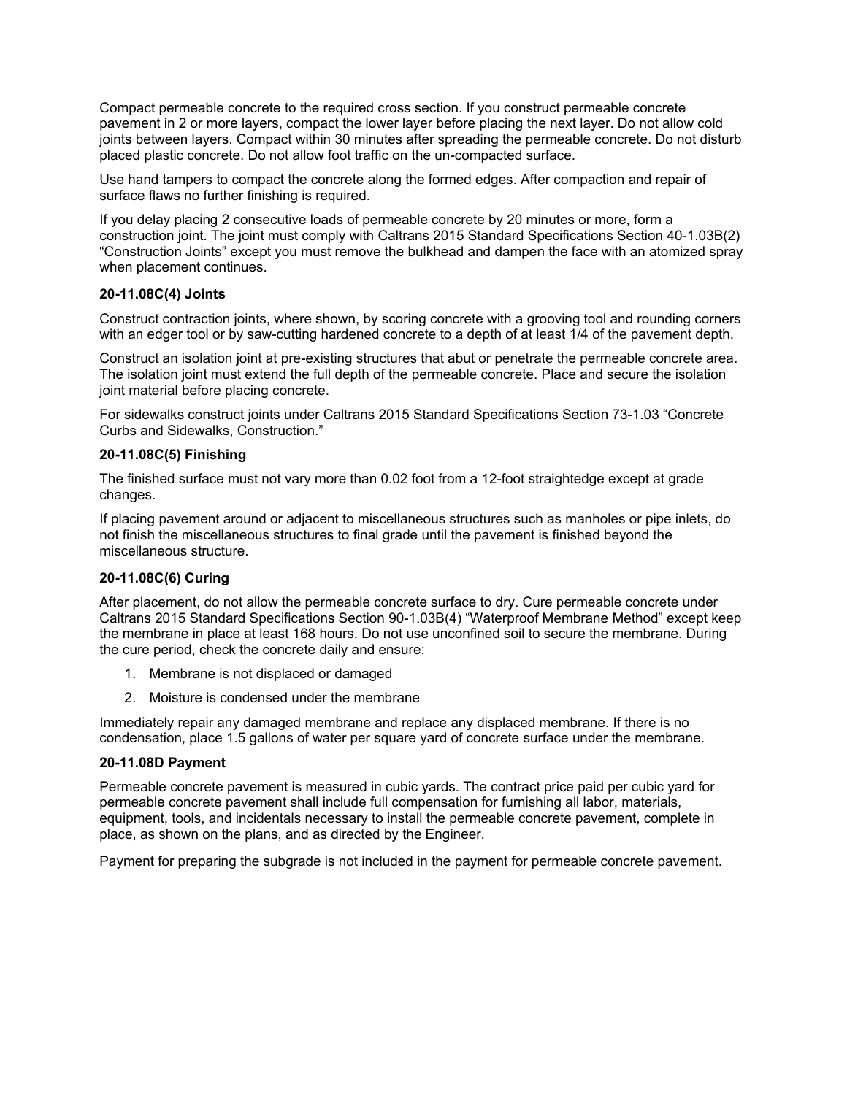Compact permeable concrete to the required cross section. If you construct permeable concrete pavement in 2 or more layers, compact the lower layer before placing the next layer. Do not allow cold joints between layers. Compact within 30 minutes after spreading the permeable concrete. Do not disturb placed plastic concrete. Do not allow foot traffic on the un-compacted surface.

Use hand tampers to compact the concrete along the formed edges. After compaction and repair of surface flaws no further finishing is required.

If you delay placing 2 consecutive loads of permeable concrete by 20 minutes or more, form a construction joint. The joint must comply with Caltrans 2015 Standard Specifications Section 40-1.03B(2) "Construction Joints" except you must remove the bulkhead and dampen the face with an atomized spray when placement continues.

#### **20-11.08C(4) Joints**

Construct contraction joints, where shown, by scoring concrete with a grooving tool and rounding corners with an edger tool or by saw-cutting hardened concrete to a depth of at least 1/4 of the pavement depth.

Construct an isolation joint at pre-existing structures that abut or penetrate the permeable concrete area. The isolation joint must extend the full depth of the permeable concrete. Place and secure the isolation joint material before placing concrete.

For sidewalks construct joints under Caltrans 2015 Standard Specifications Section 73-1.03 "Concrete Curbs and Sidewalks, Construction."

## **20-11.08C(5) Finishing**

The finished surface must not vary more than 0.02 foot from a 12-foot straightedge except at grade changes.

If placing pavement around or adjacent to miscellaneous structures such as manholes or pipe inlets, do not finish the miscellaneous structures to final grade until the pavement is finished beyond the miscellaneous structure.

# **20-11.08C(6) Curing**

After placement, do not allow the permeable concrete surface to dry. Cure permeable concrete under Caltrans 2015 Standard Specifications Section 90-1.03B(4) "Waterproof Membrane Method" except keep the membrane in place at least 168 hours. Do not use unconfined soil to secure the membrane. During the cure period, check the concrete daily and ensure:

- 1. Membrane is not displaced or damaged
- 2. Moisture is condensed under the membrane

Immediately repair any damaged membrane and replace any displaced membrane. If there is no condensation, place 1.5 gallons of water per square yard of concrete surface under the membrane.

#### **20-11.08D Payment**

Permeable concrete pavement is measured in cubic yards. The contract price paid per cubic yard for permeable concrete pavement shall include full compensation for furnishing all labor, materials, equipment, tools, and incidentals necessary to install the permeable concrete pavement, complete in place, as shown on the plans, and as directed by the Engineer.

Payment for preparing the subgrade is not included in the payment for permeable concrete pavement.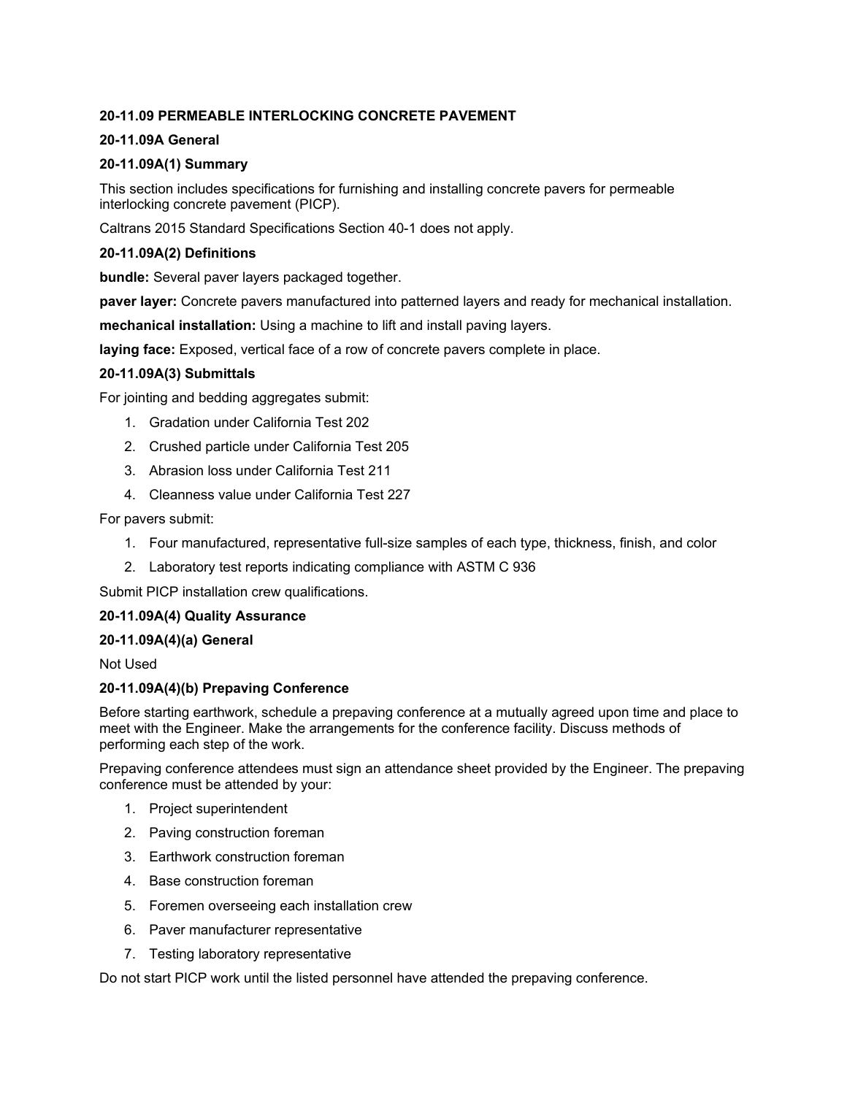# **20-11.09 PERMEABLE INTERLOCKING CONCRETE PAVEMENT**

# **20-11.09A General**

# **20-11.09A(1) Summary**

This section includes specifications for furnishing and installing concrete pavers for permeable interlocking concrete pavement (PICP).

Caltrans 2015 Standard Specifications Section 40-1 does not apply.

# **20-11.09A(2) Definitions**

**bundle:** Several paver layers packaged together.

**paver layer:** Concrete pavers manufactured into patterned layers and ready for mechanical installation.

**mechanical installation:** Using a machine to lift and install paving layers.

**laying face:** Exposed, vertical face of a row of concrete pavers complete in place.

# **20-11.09A(3) Submittals**

For jointing and bedding aggregates submit:

- 1. Gradation under California Test 202
- 2. Crushed particle under California Test 205
- 3. Abrasion loss under California Test 211
- 4. Cleanness value under California Test 227

For pavers submit:

- 1. Four manufactured, representative full-size samples of each type, thickness, finish, and color
- 2. Laboratory test reports indicating compliance with ASTM C 936

Submit PICP installation crew qualifications.

# **20-11.09A(4) Quality Assurance**

# **20-11.09A(4)(a) General**

Not Used

# **20-11.09A(4)(b) Prepaving Conference**

Before starting earthwork, schedule a prepaving conference at a mutually agreed upon time and place to meet with the Engineer. Make the arrangements for the conference facility. Discuss methods of performing each step of the work.

Prepaving conference attendees must sign an attendance sheet provided by the Engineer. The prepaving conference must be attended by your:

- 1. Project superintendent
- 2. Paving construction foreman
- 3. Earthwork construction foreman
- 4. Base construction foreman
- 5. Foremen overseeing each installation crew
- 6. Paver manufacturer representative
- 7. Testing laboratory representative

Do not start PICP work until the listed personnel have attended the prepaving conference.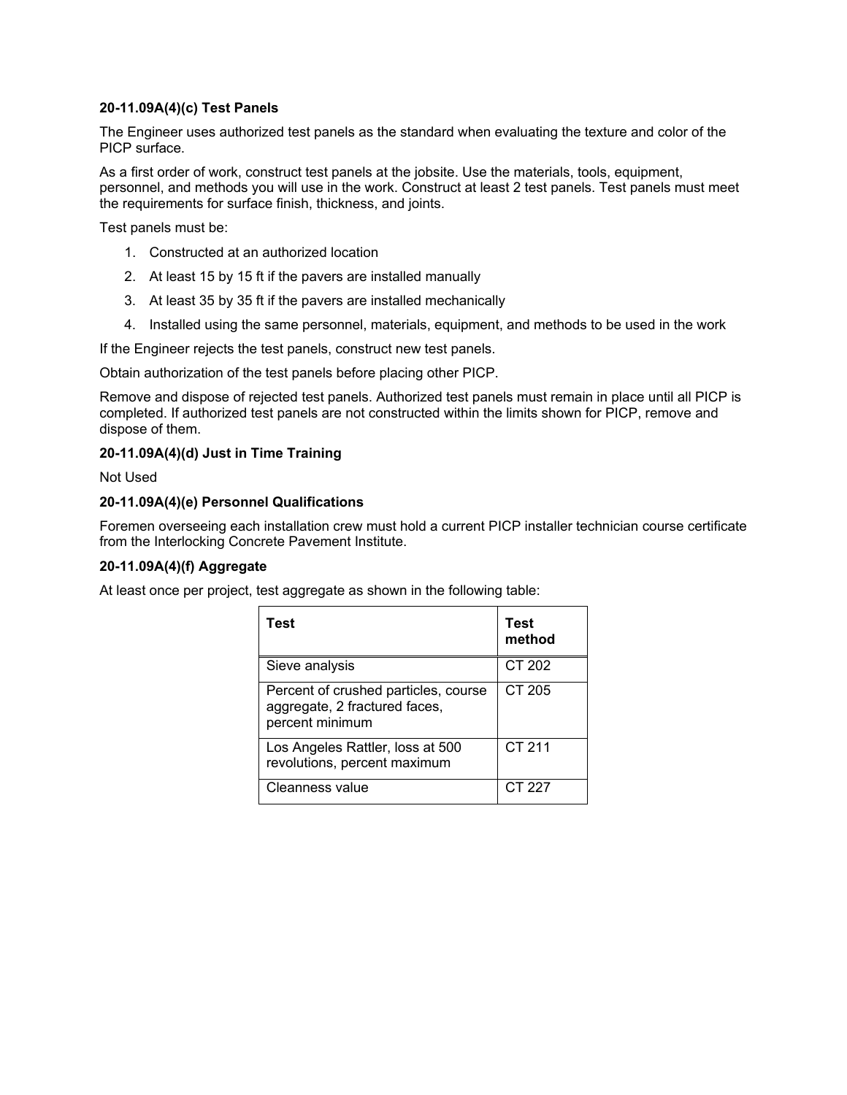## **20-11.09A(4)(c) Test Panels**

The Engineer uses authorized test panels as the standard when evaluating the texture and color of the PICP surface.

As a first order of work, construct test panels at the jobsite. Use the materials, tools, equipment, personnel, and methods you will use in the work. Construct at least 2 test panels. Test panels must meet the requirements for surface finish, thickness, and joints.

Test panels must be:

- 1. Constructed at an authorized location
- 2. At least 15 by 15 ft if the pavers are installed manually
- 3. At least 35 by 35 ft if the pavers are installed mechanically
- 4. Installed using the same personnel, materials, equipment, and methods to be used in the work

If the Engineer rejects the test panels, construct new test panels.

Obtain authorization of the test panels before placing other PICP.

Remove and dispose of rejected test panels. Authorized test panels must remain in place until all PICP is completed. If authorized test panels are not constructed within the limits shown for PICP, remove and dispose of them.

## **20-11.09A(4)(d) Just in Time Training**

Not Used

# **20-11.09A(4)(e) Personnel Qualifications**

Foremen overseeing each installation crew must hold a current PICP installer technician course certificate from the Interlocking Concrete Pavement Institute.

# **20-11.09A(4)(f) Aggregate**

At least once per project, test aggregate as shown in the following table:

| Test                                                                                     | <b>Test</b><br>method |
|------------------------------------------------------------------------------------------|-----------------------|
| Sieve analysis                                                                           | CT 202                |
| Percent of crushed particles, course<br>aggregate, 2 fractured faces,<br>percent minimum | CT 205                |
| Los Angeles Rattler, loss at 500<br>revolutions, percent maximum                         | CT 211                |
| Cleanness value                                                                          | CT 227                |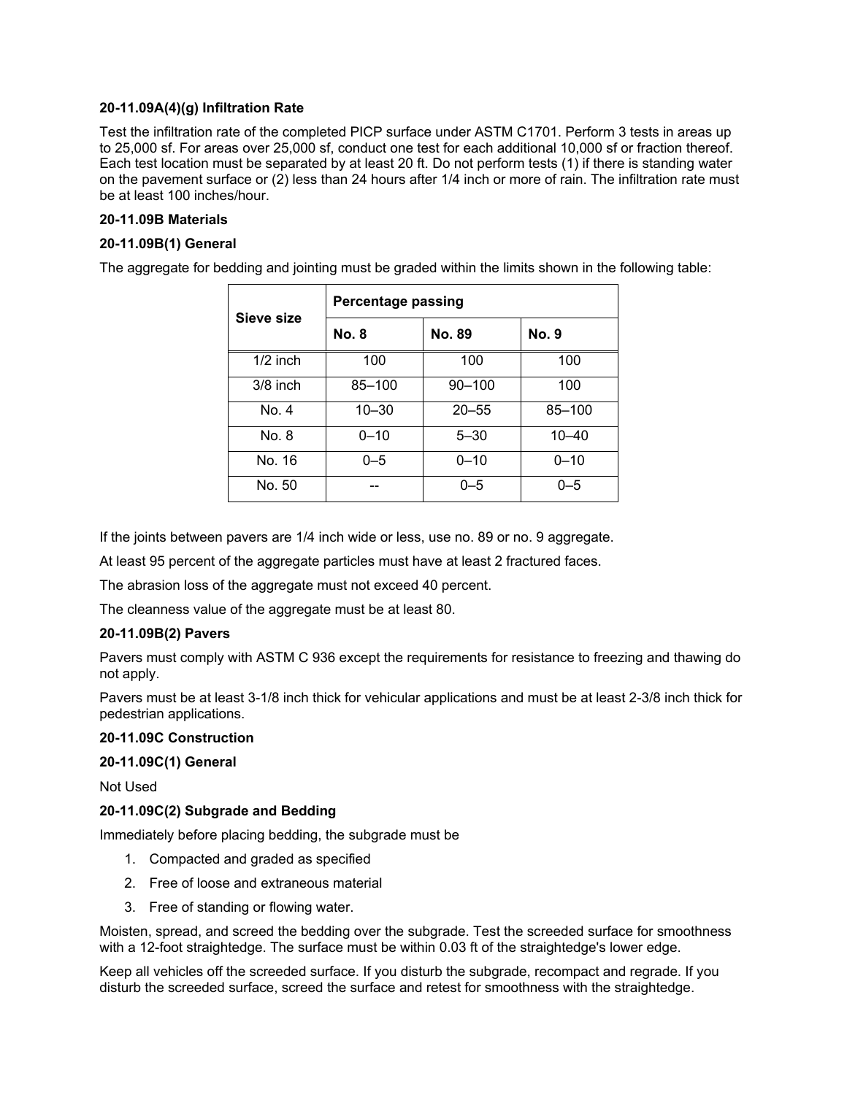## **20-11.09A(4)(g) Infiltration Rate**

Test the infiltration rate of the completed PICP surface under ASTM C1701. Perform 3 tests in areas up to 25,000 sf. For areas over 25,000 sf, conduct one test for each additional 10,000 sf or fraction thereof. Each test location must be separated by at least 20 ft. Do not perform tests (1) if there is standing water on the pavement surface or (2) less than 24 hours after 1/4 inch or more of rain. The infiltration rate must be at least 100 inches/hour.

# **20-11.09B Materials**

## **20-11.09B(1) General**

The aggregate for bedding and jointing must be graded within the limits shown in the following table:

| Sieve size | <b>Percentage passing</b> |            |              |  |
|------------|---------------------------|------------|--------------|--|
|            | <b>No. 8</b>              | No. 89     | <b>No. 9</b> |  |
| $1/2$ inch | 100                       | 100        | 100          |  |
| $3/8$ inch | 85-100                    | $90 - 100$ | 100          |  |
| No. 4      | $10 - 30$                 | $20 - 55$  | 85-100       |  |
| No. 8      | $0 - 10$                  | $5 - 30$   | $10 - 40$    |  |
| No. 16     | $0 - 5$                   | $0 - 10$   | $0 - 10$     |  |
| No. 50     |                           | $0 - 5$    | $0 - 5$      |  |

If the joints between pavers are 1/4 inch wide or less, use no. 89 or no. 9 aggregate.

At least 95 percent of the aggregate particles must have at least 2 fractured faces.

The abrasion loss of the aggregate must not exceed 40 percent.

The cleanness value of the aggregate must be at least 80.

#### **20-11.09B(2) Pavers**

Pavers must comply with ASTM C 936 except the requirements for resistance to freezing and thawing do not apply.

Pavers must be at least 3-1/8 inch thick for vehicular applications and must be at least 2-3/8 inch thick for pedestrian applications.

## **20-11.09C Construction**

#### **20-11.09C(1) General**

Not Used

# **20-11.09C(2) Subgrade and Bedding**

Immediately before placing bedding, the subgrade must be

- 1. Compacted and graded as specified
- 2. Free of loose and extraneous material
- 3. Free of standing or flowing water.

Moisten, spread, and screed the bedding over the subgrade. Test the screeded surface for smoothness with a 12-foot straightedge. The surface must be within 0.03 ft of the straightedge's lower edge.

Keep all vehicles off the screeded surface. If you disturb the subgrade, recompact and regrade. If you disturb the screeded surface, screed the surface and retest for smoothness with the straightedge.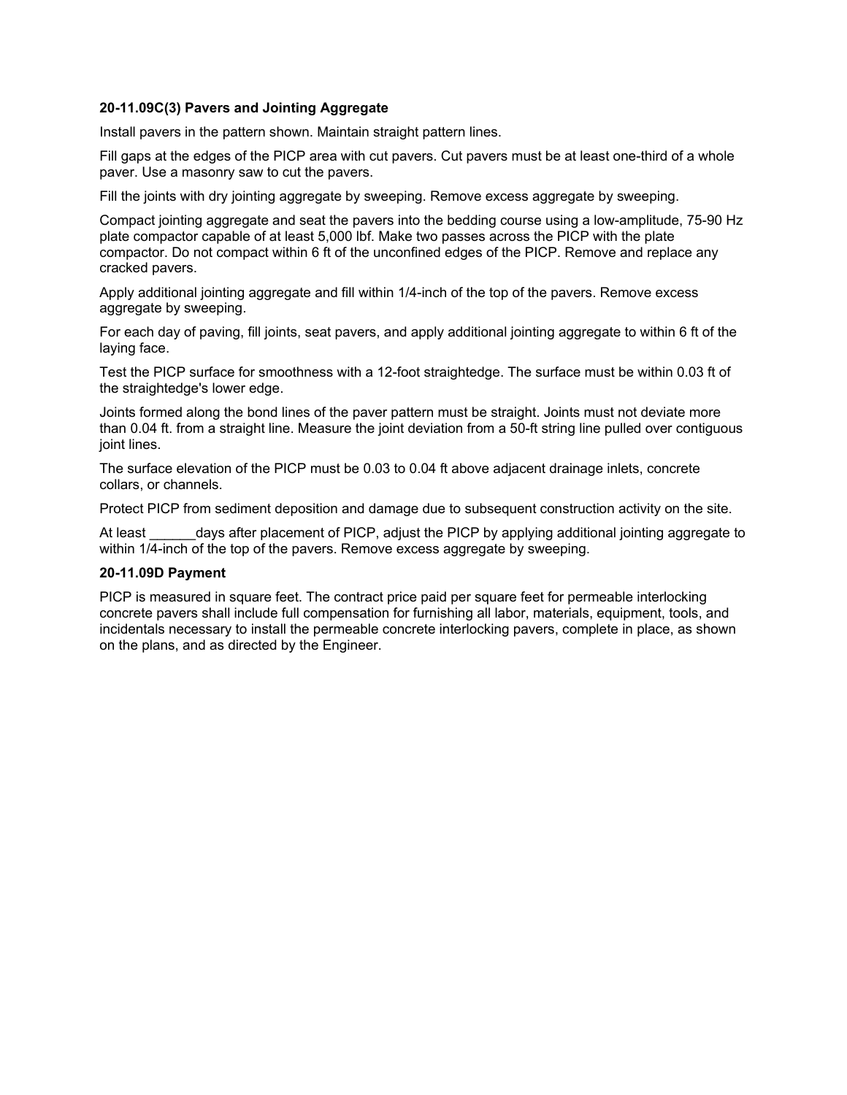#### **20-11.09C(3) Pavers and Jointing Aggregate**

Install pavers in the pattern shown. Maintain straight pattern lines.

Fill gaps at the edges of the PICP area with cut pavers. Cut pavers must be at least one-third of a whole paver. Use a masonry saw to cut the pavers.

Fill the joints with dry jointing aggregate by sweeping. Remove excess aggregate by sweeping.

Compact jointing aggregate and seat the pavers into the bedding course using a low-amplitude, 75-90 Hz plate compactor capable of at least 5,000 lbf. Make two passes across the PICP with the plate compactor. Do not compact within 6 ft of the unconfined edges of the PICP. Remove and replace any cracked pavers.

Apply additional jointing aggregate and fill within 1/4-inch of the top of the pavers. Remove excess aggregate by sweeping.

For each day of paving, fill joints, seat pavers, and apply additional jointing aggregate to within 6 ft of the laying face.

Test the PICP surface for smoothness with a 12-foot straightedge. The surface must be within 0.03 ft of the straightedge's lower edge.

Joints formed along the bond lines of the paver pattern must be straight. Joints must not deviate more than 0.04 ft. from a straight line. Measure the joint deviation from a 50-ft string line pulled over contiguous joint lines.

The surface elevation of the PICP must be 0.03 to 0.04 ft above adjacent drainage inlets, concrete collars, or channels.

Protect PICP from sediment deposition and damage due to subsequent construction activity on the site.

At least days after placement of PICP, adjust the PICP by applying additional jointing aggregate to within 1/4-inch of the top of the pavers. Remove excess aggregate by sweeping.

#### **20-11.09D Payment**

PICP is measured in square feet. The contract price paid per square feet for permeable interlocking concrete pavers shall include full compensation for furnishing all labor, materials, equipment, tools, and incidentals necessary to install the permeable concrete interlocking pavers, complete in place, as shown on the plans, and as directed by the Engineer.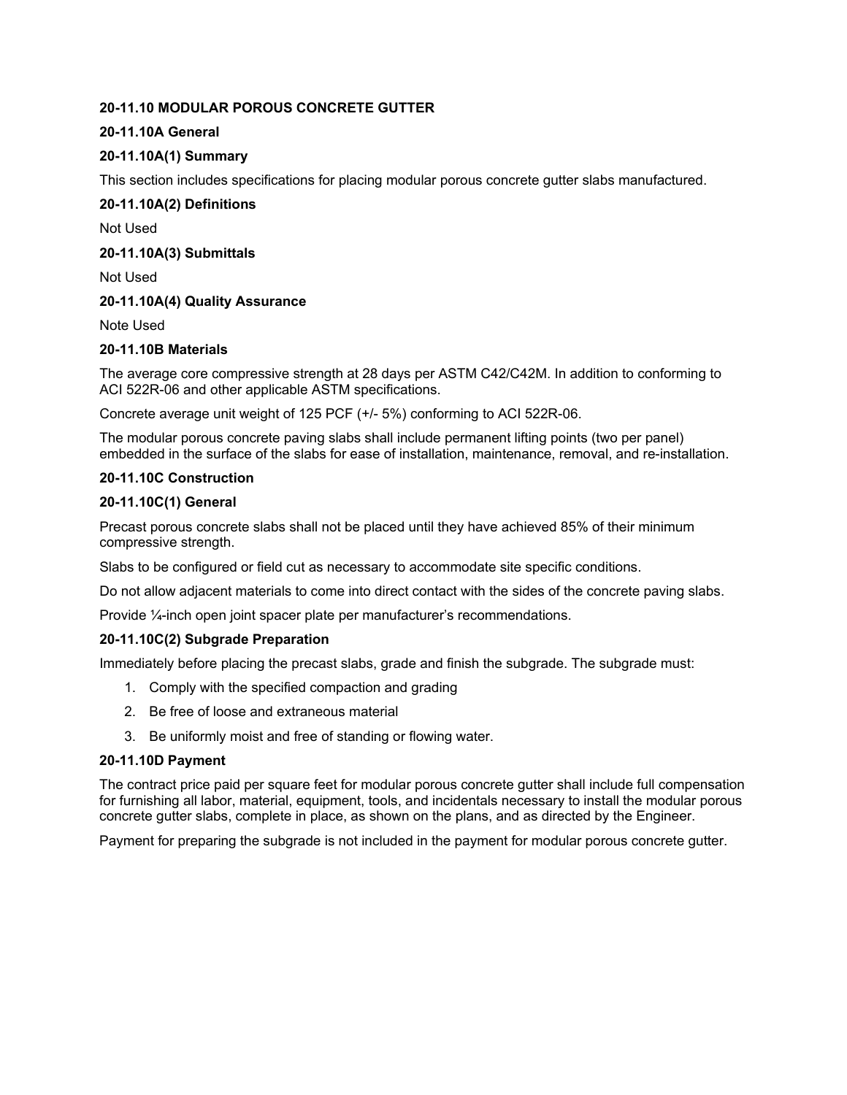# **20-11.10 MODULAR POROUS CONCRETE GUTTER**

# **20-11.10A General**

# **20-11.10A(1) Summary**

This section includes specifications for placing modular porous concrete gutter slabs manufactured.

# **20-11.10A(2) Definitions**

Not Used

## **20-11.10A(3) Submittals**

Not Used

## **20-11.10A(4) Quality Assurance**

Note Used

# **20-11.10B Materials**

The average core compressive strength at 28 days per ASTM C42/C42M. In addition to conforming to ACI 522R-06 and other applicable ASTM specifications.

Concrete average unit weight of 125 PCF (+/- 5%) conforming to ACI 522R-06.

The modular porous concrete paving slabs shall include permanent lifting points (two per panel) embedded in the surface of the slabs for ease of installation, maintenance, removal, and re-installation.

## **20-11.10C Construction**

## **20-11.10C(1) General**

Precast porous concrete slabs shall not be placed until they have achieved 85% of their minimum compressive strength.

Slabs to be configured or field cut as necessary to accommodate site specific conditions.

Do not allow adjacent materials to come into direct contact with the sides of the concrete paving slabs.

Provide ¼-inch open joint spacer plate per manufacturer's recommendations.

# **20-11.10C(2) Subgrade Preparation**

Immediately before placing the precast slabs, grade and finish the subgrade. The subgrade must:

- 1. Comply with the specified compaction and grading
- 2. Be free of loose and extraneous material
- 3. Be uniformly moist and free of standing or flowing water.

## **20-11.10D Payment**

The contract price paid per square feet for modular porous concrete gutter shall include full compensation for furnishing all labor, material, equipment, tools, and incidentals necessary to install the modular porous concrete gutter slabs, complete in place, as shown on the plans, and as directed by the Engineer.

Payment for preparing the subgrade is not included in the payment for modular porous concrete gutter.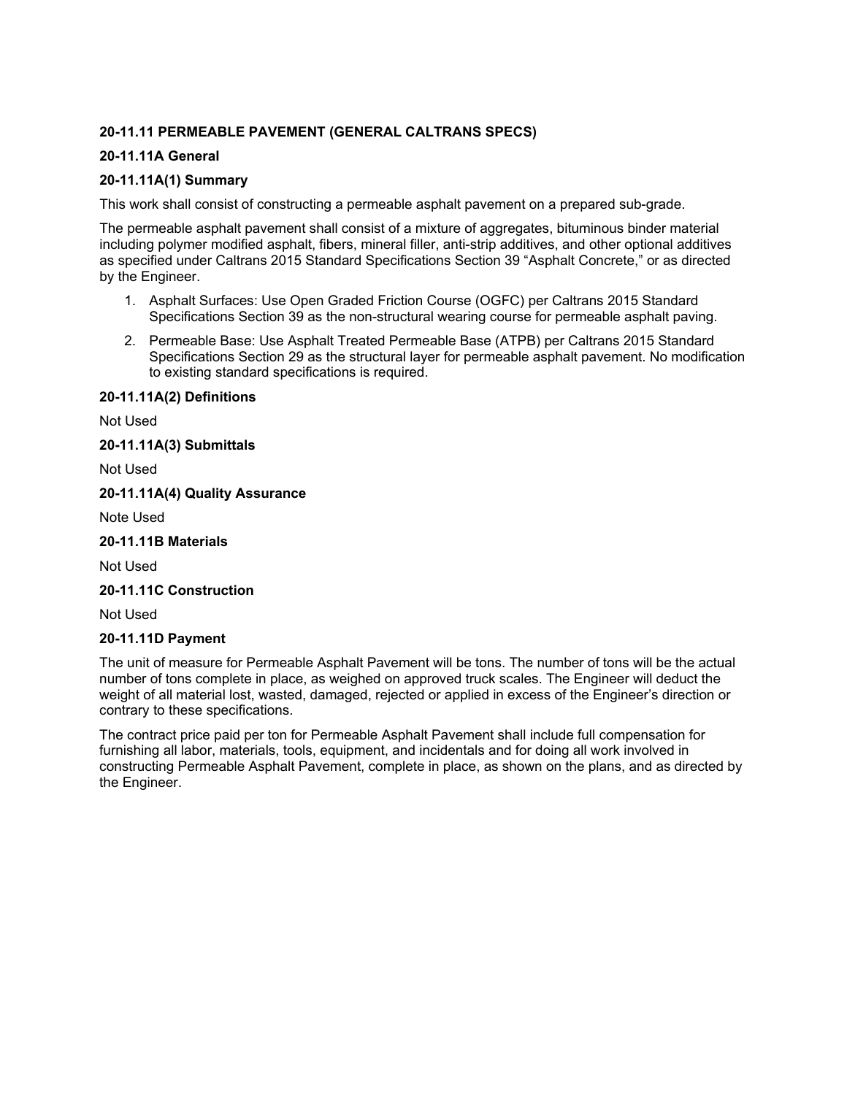# **20-11.11 PERMEABLE PAVEMENT (GENERAL CALTRANS SPECS)**

# **20-11.11A General**

# **20-11.11A(1) Summary**

This work shall consist of constructing a permeable asphalt pavement on a prepared sub-grade.

The permeable asphalt pavement shall consist of a mixture of aggregates, bituminous binder material including polymer modified asphalt, fibers, mineral filler, anti-strip additives, and other optional additives as specified under Caltrans 2015 Standard Specifications Section 39 "Asphalt Concrete," or as directed by the Engineer.

- 1. Asphalt Surfaces: Use Open Graded Friction Course (OGFC) per Caltrans 2015 Standard Specifications Section 39 as the non-structural wearing course for permeable asphalt paving.
- 2. Permeable Base: Use Asphalt Treated Permeable Base (ATPB) per Caltrans 2015 Standard Specifications Section 29 as the structural layer for permeable asphalt pavement. No modification to existing standard specifications is required.

## **20-11.11A(2) Definitions**

Not Used

**20-11.11A(3) Submittals**

Not Used

# **20-11.11A(4) Quality Assurance**

Note Used

# **20-11.11B Materials**

Not Used

## **20-11.11C Construction**

Not Used

#### **20-11.11D Payment**

The unit of measure for Permeable Asphalt Pavement will be tons. The number of tons will be the actual number of tons complete in place, as weighed on approved truck scales. The Engineer will deduct the weight of all material lost, wasted, damaged, rejected or applied in excess of the Engineer's direction or contrary to these specifications.

The contract price paid per ton for Permeable Asphalt Pavement shall include full compensation for furnishing all labor, materials, tools, equipment, and incidentals and for doing all work involved in constructing Permeable Asphalt Pavement, complete in place, as shown on the plans, and as directed by the Engineer.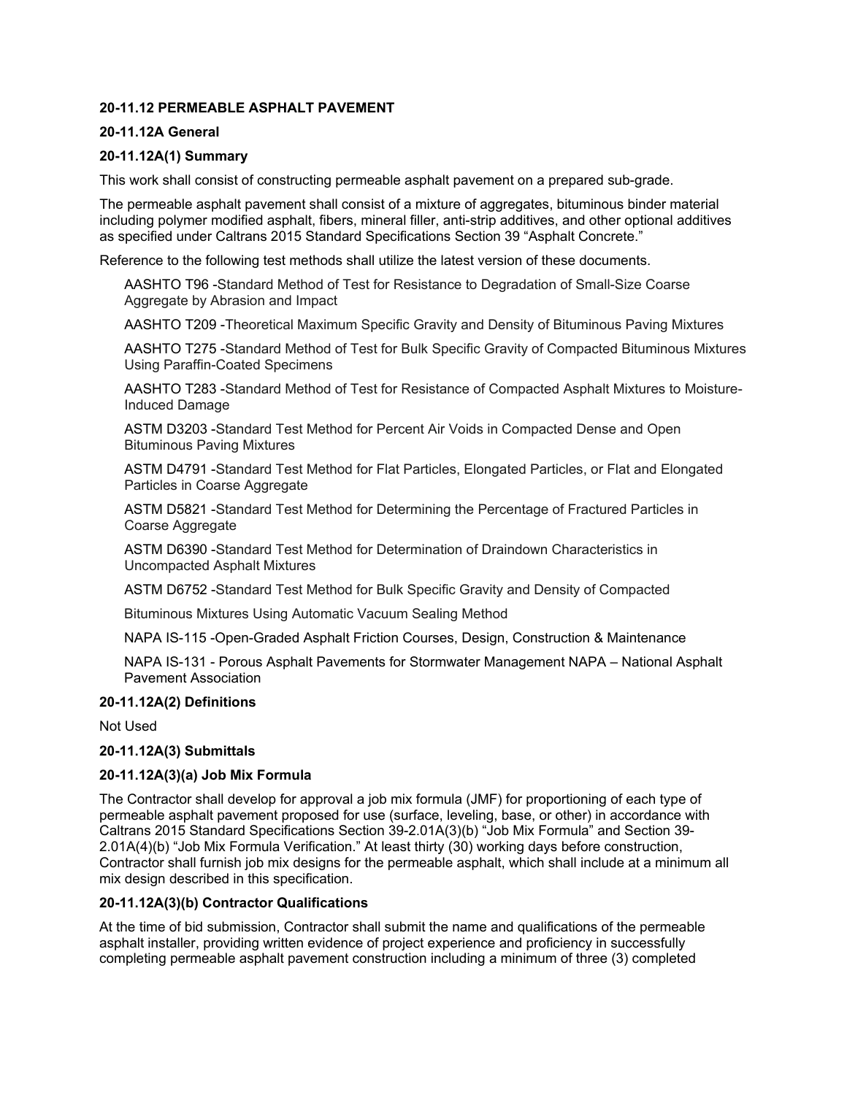## **20-11.12 PERMEABLE ASPHALT PAVEMENT**

## **20-11.12A General**

## **20-11.12A(1) Summary**

This work shall consist of constructing permeable asphalt pavement on a prepared sub-grade.

The permeable asphalt pavement shall consist of a mixture of aggregates, bituminous binder material including polymer modified asphalt, fibers, mineral filler, anti-strip additives, and other optional additives as specified under Caltrans 2015 Standard Specifications Section 39 "Asphalt Concrete."

Reference to the following test methods shall utilize the latest version of these documents.

AASHTO T96 -Standard Method of Test for Resistance to Degradation of Small-Size Coarse Aggregate by Abrasion and Impact

AASHTO T209 -Theoretical Maximum Specific Gravity and Density of Bituminous Paving Mixtures

AASHTO T275 -Standard Method of Test for Bulk Specific Gravity of Compacted Bituminous Mixtures Using Paraffin-Coated Specimens

AASHTO T283 -Standard Method of Test for Resistance of Compacted Asphalt Mixtures to Moisture-Induced Damage

ASTM D3203 -Standard Test Method for Percent Air Voids in Compacted Dense and Open Bituminous Paving Mixtures

ASTM D4791 -Standard Test Method for Flat Particles, Elongated Particles, or Flat and Elongated Particles in Coarse Aggregate

ASTM D5821 -Standard Test Method for Determining the Percentage of Fractured Particles in Coarse Aggregate

ASTM D6390 -Standard Test Method for Determination of Draindown Characteristics in Uncompacted Asphalt Mixtures

ASTM D6752 -Standard Test Method for Bulk Specific Gravity and Density of Compacted

Bituminous Mixtures Using Automatic Vacuum Sealing Method

NAPA IS-115 -Open-Graded Asphalt Friction Courses, Design, Construction & Maintenance

NAPA IS-131 - Porous Asphalt Pavements for Stormwater Management NAPA – National Asphalt Pavement Association

#### **20-11.12A(2) Definitions**

Not Used

#### **20-11.12A(3) Submittals**

#### **20-11.12A(3)(a) Job Mix Formula**

The Contractor shall develop for approval a job mix formula (JMF) for proportioning of each type of permeable asphalt pavement proposed for use (surface, leveling, base, or other) in accordance with Caltrans 2015 Standard Specifications Section 39-2.01A(3)(b) "Job Mix Formula" and Section 39- 2.01A(4)(b) "Job Mix Formula Verification." At least thirty (30) working days before construction, Contractor shall furnish job mix designs for the permeable asphalt, which shall include at a minimum all mix design described in this specification.

#### **20-11.12A(3)(b) Contractor Qualifications**

At the time of bid submission, Contractor shall submit the name and qualifications of the permeable asphalt installer, providing written evidence of project experience and proficiency in successfully completing permeable asphalt pavement construction including a minimum of three (3) completed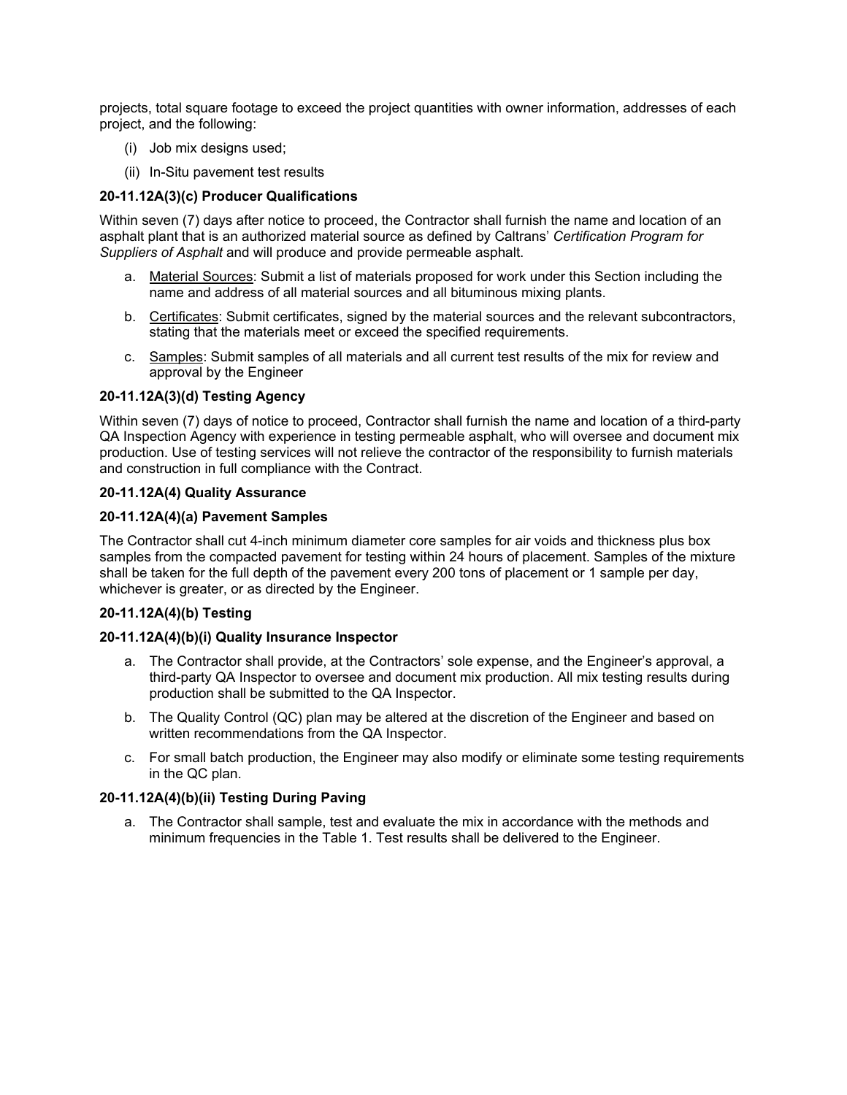projects, total square footage to exceed the project quantities with owner information, addresses of each project, and the following:

- (i) Job mix designs used;
- (ii) In-Situ pavement test results

# **20-11.12A(3)(c) Producer Qualifications**

Within seven (7) days after notice to proceed, the Contractor shall furnish the name and location of an asphalt plant that is an authorized material source as defined by Caltrans' *Certification Program for Suppliers of Asphalt* and will produce and provide permeable asphalt.

- a. Material Sources: Submit a list of materials proposed for work under this Section including the name and address of all material sources and all bituminous mixing plants.
- b. Certificates: Submit certificates, signed by the material sources and the relevant subcontractors, stating that the materials meet or exceed the specified requirements.
- c. Samples: Submit samples of all materials and all current test results of the mix for review and approval by the Engineer

## **20-11.12A(3)(d) Testing Agency**

Within seven (7) days of notice to proceed, Contractor shall furnish the name and location of a third-party QA Inspection Agency with experience in testing permeable asphalt, who will oversee and document mix production. Use of testing services will not relieve the contractor of the responsibility to furnish materials and construction in full compliance with the Contract.

## **20-11.12A(4) Quality Assurance**

## **20-11.12A(4)(a) Pavement Samples**

The Contractor shall cut 4-inch minimum diameter core samples for air voids and thickness plus box samples from the compacted pavement for testing within 24 hours of placement. Samples of the mixture shall be taken for the full depth of the pavement every 200 tons of placement or 1 sample per day, whichever is greater, or as directed by the Engineer.

# **20-11.12A(4)(b) Testing**

#### **20-11.12A(4)(b)(i) Quality Insurance Inspector**

- a. The Contractor shall provide, at the Contractors' sole expense, and the Engineer's approval, a third-party QA Inspector to oversee and document mix production. All mix testing results during production shall be submitted to the QA Inspector.
- b. The Quality Control (QC) plan may be altered at the discretion of the Engineer and based on written recommendations from the QA Inspector.
- c. For small batch production, the Engineer may also modify or eliminate some testing requirements in the QC plan.

# **20-11.12A(4)(b)(ii) Testing During Paving**

a. The Contractor shall sample, test and evaluate the mix in accordance with the methods and minimum frequencies in the Table 1. Test results shall be delivered to the Engineer.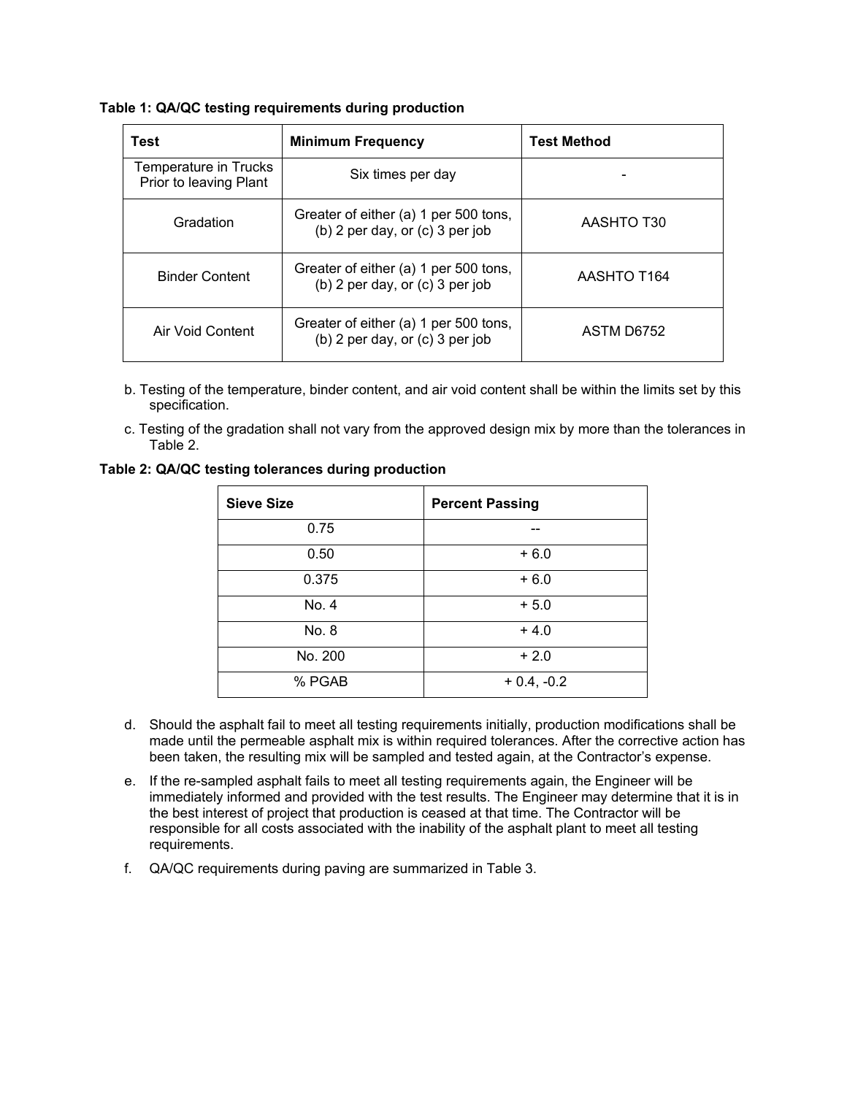| Table 1: QA/QC testing requirements during production |  |  |  |  |
|-------------------------------------------------------|--|--|--|--|
|-------------------------------------------------------|--|--|--|--|

| Test                                            | <b>Minimum Frequency</b>                                                   | <b>Test Method</b> |
|-------------------------------------------------|----------------------------------------------------------------------------|--------------------|
| Temperature in Trucks<br>Prior to leaving Plant | Six times per day                                                          |                    |
| Gradation                                       | Greater of either (a) 1 per 500 tons,<br>(b) 2 per day, or $(c)$ 3 per job | AASHTO T30         |
| <b>Binder Content</b>                           | Greater of either (a) 1 per 500 tons,<br>(b) 2 per day, or $(c)$ 3 per job | AASHTO T164        |
| Air Void Content                                | Greater of either (a) 1 per 500 tons,<br>(b) 2 per day, or $(c)$ 3 per job | ASTM D6752         |

- b. Testing of the temperature, binder content, and air void content shall be within the limits set by this specification.
- c. Testing of the gradation shall not vary from the approved design mix by more than the tolerances in Table 2.

**Table 2: QA/QC testing tolerances during production**

| <b>Sieve Size</b> | <b>Percent Passing</b> |
|-------------------|------------------------|
| 0.75              |                        |
| 0.50              | $+6.0$                 |
| 0.375             | $+6.0$                 |
| No. 4             | $+5.0$                 |
| No. 8             | $+4.0$                 |
| No. 200           | $+2.0$                 |
| % PGAB            | $+ 0.4, -0.2$          |

- d. Should the asphalt fail to meet all testing requirements initially, production modifications shall be made until the permeable asphalt mix is within required tolerances. After the corrective action has been taken, the resulting mix will be sampled and tested again, at the Contractor's expense.
- e. If the re-sampled asphalt fails to meet all testing requirements again, the Engineer will be immediately informed and provided with the test results. The Engineer may determine that it is in the best interest of project that production is ceased at that time. The Contractor will be responsible for all costs associated with the inability of the asphalt plant to meet all testing requirements.
- f. QA/QC requirements during paving are summarized in Table 3.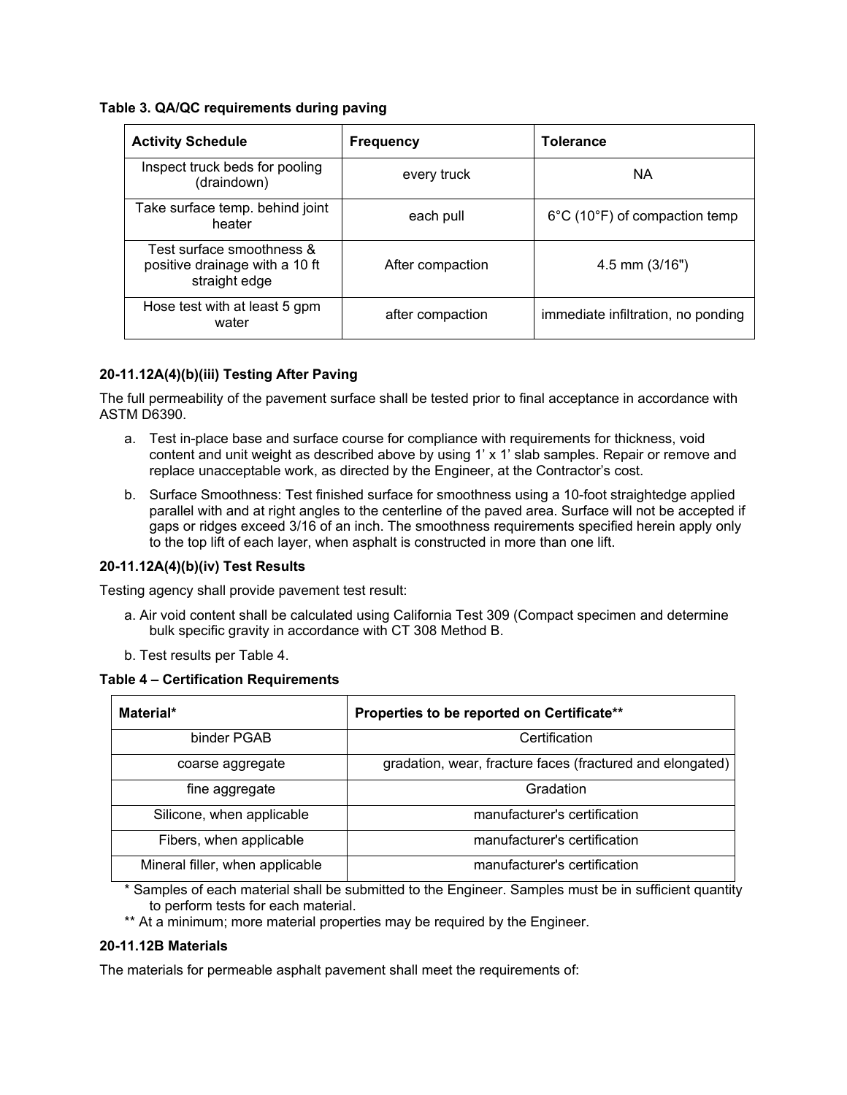## **Table 3. QA/QC requirements during paving**

| <b>Activity Schedule</b>                                                     | <b>Frequency</b> | <b>Tolerance</b>                                   |
|------------------------------------------------------------------------------|------------------|----------------------------------------------------|
| Inspect truck beds for pooling<br>(draindown)                                | every truck      | <b>NA</b>                                          |
| Take surface temp. behind joint<br>heater                                    | each pull        | $6^{\circ}$ C (10 $^{\circ}$ F) of compaction temp |
| Test surface smoothness &<br>positive drainage with a 10 ft<br>straight edge | After compaction | $4.5$ mm $(3/16")$                                 |
| Hose test with at least 5 gpm<br>water                                       | after compaction | immediate infiltration, no ponding                 |

# **20-11.12A(4)(b)(iii) Testing After Paving**

The full permeability of the pavement surface shall be tested prior to final acceptance in accordance with ASTM D6390.

- a. Test in-place base and surface course for compliance with requirements for thickness, void content and unit weight as described above by using 1' x 1' slab samples. Repair or remove and replace unacceptable work, as directed by the Engineer, at the Contractor's cost.
- b. Surface Smoothness: Test finished surface for smoothness using a 10-foot straightedge applied parallel with and at right angles to the centerline of the paved area. Surface will not be accepted if gaps or ridges exceed 3/16 of an inch. The smoothness requirements specified herein apply only to the top lift of each layer, when asphalt is constructed in more than one lift.

#### **20-11.12A(4)(b)(iv) Test Results**

Testing agency shall provide pavement test result:

- a. Air void content shall be calculated using California Test 309 (Compact specimen and determine bulk specific gravity in accordance with CT 308 Method B.
- b. Test results per Table 4.

#### **Table 4 – Certification Requirements**

| Material*                       | Properties to be reported on Certificate**                |
|---------------------------------|-----------------------------------------------------------|
| binder PGAB                     | Certification                                             |
| coarse aggregate                | gradation, wear, fracture faces (fractured and elongated) |
| fine aggregate                  | Gradation                                                 |
| Silicone, when applicable       | manufacturer's certification                              |
| Fibers, when applicable         | manufacturer's certification                              |
| Mineral filler, when applicable | manufacturer's certification                              |

\* Samples of each material shall be submitted to the Engineer. Samples must be in sufficient quantity to perform tests for each material.

\*\* At a minimum; more material properties may be required by the Engineer.

#### **20-11.12B Materials**

The materials for permeable asphalt pavement shall meet the requirements of: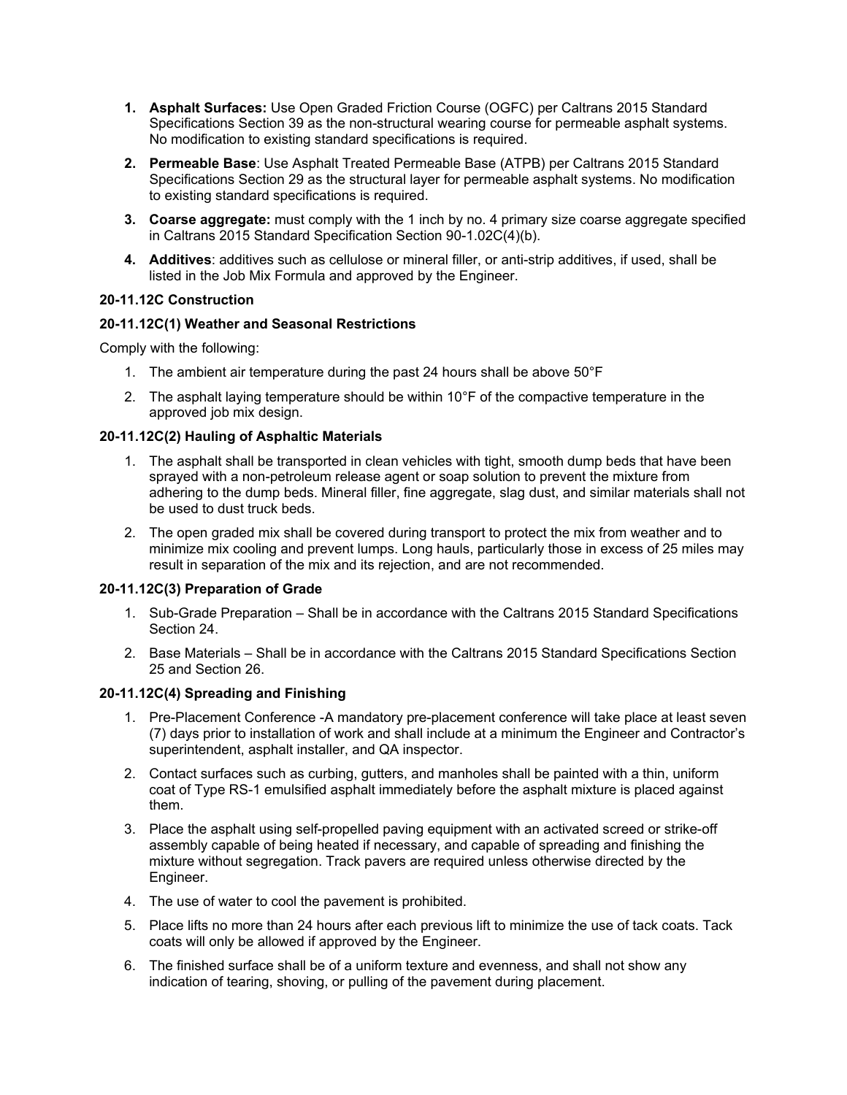- **1. Asphalt Surfaces:** Use Open Graded Friction Course (OGFC) per Caltrans 2015 Standard Specifications Section 39 as the non-structural wearing course for permeable asphalt systems. No modification to existing standard specifications is required.
- **2. Permeable Base**: Use Asphalt Treated Permeable Base (ATPB) per Caltrans 2015 Standard Specifications Section 29 as the structural layer for permeable asphalt systems. No modification to existing standard specifications is required.
- **3. Coarse aggregate:** must comply with the 1 inch by no. 4 primary size coarse aggregate specified in Caltrans 2015 Standard Specification Section 90-1.02C(4)(b).
- **4. Additives**: additives such as cellulose or mineral filler, or anti-strip additives, if used, shall be listed in the Job Mix Formula and approved by the Engineer.

# **20-11.12C Construction**

# **20-11.12C(1) Weather and Seasonal Restrictions**

Comply with the following:

- 1. The ambient air temperature during the past 24 hours shall be above 50°F
- 2. The asphalt laying temperature should be within 10°F of the compactive temperature in the approved job mix design.

# **20-11.12C(2) Hauling of Asphaltic Materials**

- 1. The asphalt shall be transported in clean vehicles with tight, smooth dump beds that have been sprayed with a non-petroleum release agent or soap solution to prevent the mixture from adhering to the dump beds. Mineral filler, fine aggregate, slag dust, and similar materials shall not be used to dust truck beds.
- 2. The open graded mix shall be covered during transport to protect the mix from weather and to minimize mix cooling and prevent lumps. Long hauls, particularly those in excess of 25 miles may result in separation of the mix and its rejection, and are not recommended.

# **20-11.12C(3) Preparation of Grade**

- 1. Sub-Grade Preparation Shall be in accordance with the Caltrans 2015 Standard Specifications Section 24.
- 2. Base Materials Shall be in accordance with the Caltrans 2015 Standard Specifications Section 25 and Section 26.

# **20-11.12C(4) Spreading and Finishing**

- 1. Pre-Placement Conference -A mandatory pre-placement conference will take place at least seven (7) days prior to installation of work and shall include at a minimum the Engineer and Contractor's superintendent, asphalt installer, and QA inspector.
- 2. Contact surfaces such as curbing, gutters, and manholes shall be painted with a thin, uniform coat of Type RS-1 emulsified asphalt immediately before the asphalt mixture is placed against them.
- 3. Place the asphalt using self-propelled paving equipment with an activated screed or strike-off assembly capable of being heated if necessary, and capable of spreading and finishing the mixture without segregation. Track pavers are required unless otherwise directed by the Engineer.
- 4. The use of water to cool the pavement is prohibited.
- 5. Place lifts no more than 24 hours after each previous lift to minimize the use of tack coats. Tack coats will only be allowed if approved by the Engineer.
- 6. The finished surface shall be of a uniform texture and evenness, and shall not show any indication of tearing, shoving, or pulling of the pavement during placement.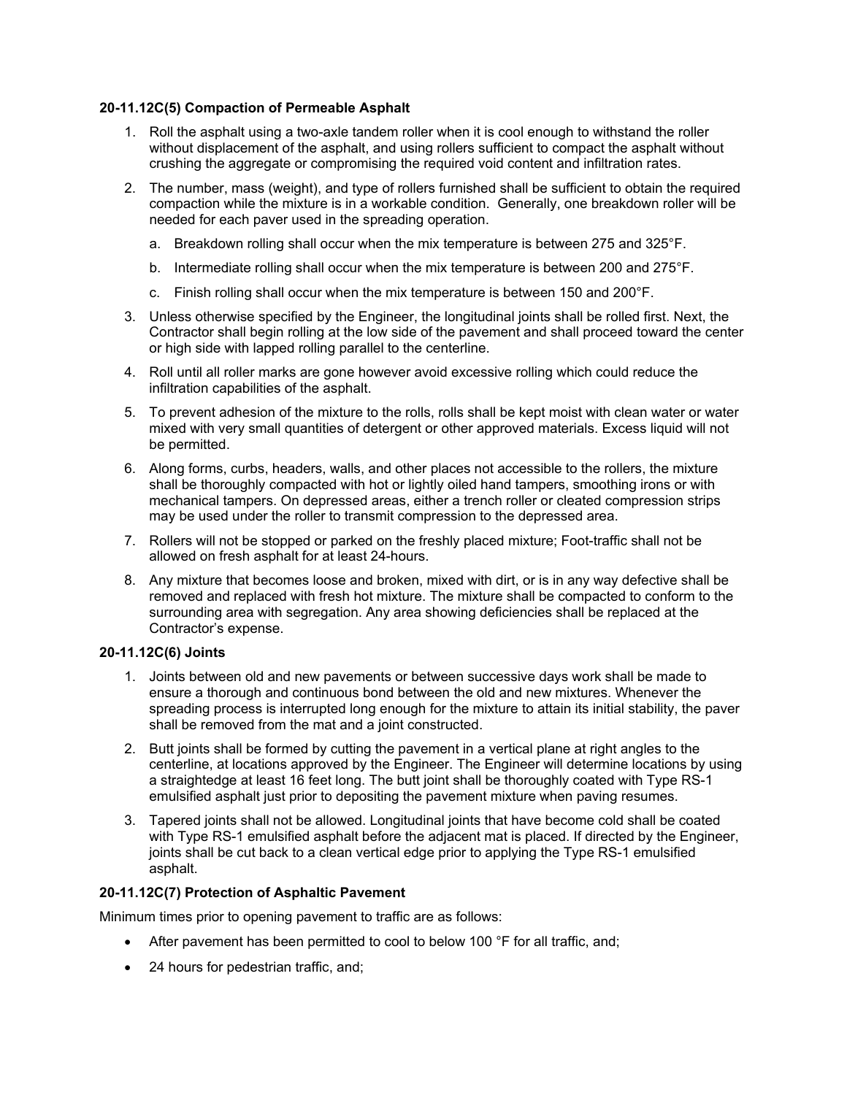## **20-11.12C(5) Compaction of Permeable Asphalt**

- 1. Roll the asphalt using a two-axle tandem roller when it is cool enough to withstand the roller without displacement of the asphalt, and using rollers sufficient to compact the asphalt without crushing the aggregate or compromising the required void content and infiltration rates.
- 2. The number, mass (weight), and type of rollers furnished shall be sufficient to obtain the required compaction while the mixture is in a workable condition. Generally, one breakdown roller will be needed for each paver used in the spreading operation.
	- a. Breakdown rolling shall occur when the mix temperature is between 275 and 325°F.
	- b. Intermediate rolling shall occur when the mix temperature is between 200 and 275°F.
	- c. Finish rolling shall occur when the mix temperature is between 150 and 200°F.
- 3. Unless otherwise specified by the Engineer, the longitudinal joints shall be rolled first. Next, the Contractor shall begin rolling at the low side of the pavement and shall proceed toward the center or high side with lapped rolling parallel to the centerline.
- 4. Roll until all roller marks are gone however avoid excessive rolling which could reduce the infiltration capabilities of the asphalt.
- 5. To prevent adhesion of the mixture to the rolls, rolls shall be kept moist with clean water or water mixed with very small quantities of detergent or other approved materials. Excess liquid will not be permitted.
- 6. Along forms, curbs, headers, walls, and other places not accessible to the rollers, the mixture shall be thoroughly compacted with hot or lightly oiled hand tampers, smoothing irons or with mechanical tampers. On depressed areas, either a trench roller or cleated compression strips may be used under the roller to transmit compression to the depressed area.
- 7. Rollers will not be stopped or parked on the freshly placed mixture; Foot-traffic shall not be allowed on fresh asphalt for at least 24-hours.
- 8. Any mixture that becomes loose and broken, mixed with dirt, or is in any way defective shall be removed and replaced with fresh hot mixture. The mixture shall be compacted to conform to the surrounding area with segregation. Any area showing deficiencies shall be replaced at the Contractor's expense.

#### **20-11.12C(6) Joints**

- 1. Joints between old and new pavements or between successive days work shall be made to ensure a thorough and continuous bond between the old and new mixtures. Whenever the spreading process is interrupted long enough for the mixture to attain its initial stability, the paver shall be removed from the mat and a joint constructed.
- 2. Butt joints shall be formed by cutting the pavement in a vertical plane at right angles to the centerline, at locations approved by the Engineer. The Engineer will determine locations by using a straightedge at least 16 feet long. The butt joint shall be thoroughly coated with Type RS-1 emulsified asphalt just prior to depositing the pavement mixture when paving resumes.
- 3. Tapered joints shall not be allowed. Longitudinal joints that have become cold shall be coated with Type RS-1 emulsified asphalt before the adjacent mat is placed. If directed by the Engineer, joints shall be cut back to a clean vertical edge prior to applying the Type RS-1 emulsified asphalt.

## **20-11.12C(7) Protection of Asphaltic Pavement**

Minimum times prior to opening pavement to traffic are as follows:

- After pavement has been permitted to cool to below 100 °F for all traffic, and;
- 24 hours for pedestrian traffic, and;